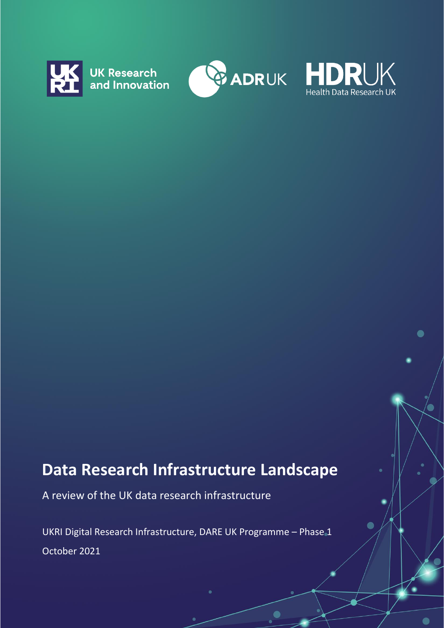





×

 $\bullet$ 

# **Data Research Infrastructure Landscape**

A review of the UK data research infrastructure

UKRI Digital Research Infrastructure, DARE UK Programme – Phase 1

October 2021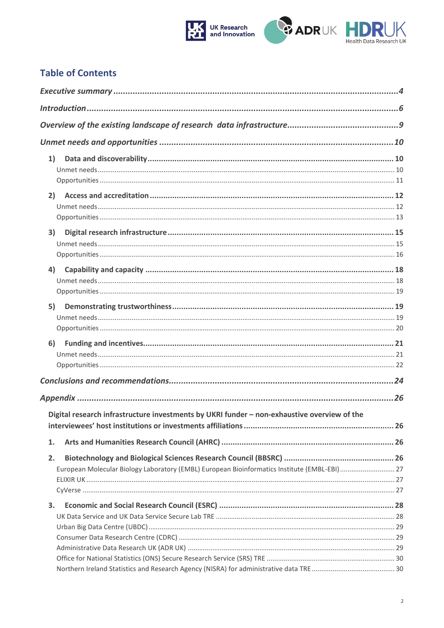

## **Table of Contents**

|    | 1)                                                                                           |  |  |  |  |  |
|----|----------------------------------------------------------------------------------------------|--|--|--|--|--|
| 2) |                                                                                              |  |  |  |  |  |
| 3) |                                                                                              |  |  |  |  |  |
| 4) |                                                                                              |  |  |  |  |  |
| 5) |                                                                                              |  |  |  |  |  |
|    |                                                                                              |  |  |  |  |  |
|    |                                                                                              |  |  |  |  |  |
|    |                                                                                              |  |  |  |  |  |
|    | Digital research infrastructure investments by UKRI funder - non-exhaustive overview of the  |  |  |  |  |  |
|    |                                                                                              |  |  |  |  |  |
| 1. |                                                                                              |  |  |  |  |  |
| 2. | European Molecular Biology Laboratory (EMBL) European Bioinformatics Institute (EMBL-EBI) 27 |  |  |  |  |  |
| 3. |                                                                                              |  |  |  |  |  |
|    |                                                                                              |  |  |  |  |  |
|    |                                                                                              |  |  |  |  |  |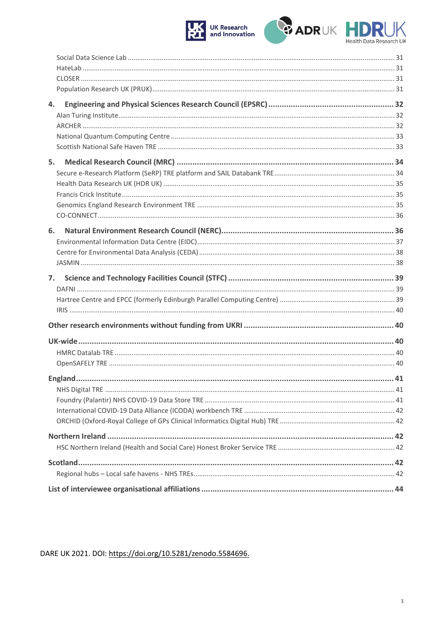### UK Research<br>and Innovation चि।



| 4. |  |
|----|--|
|    |  |
|    |  |
|    |  |
|    |  |
| 5. |  |
|    |  |
|    |  |
|    |  |
|    |  |
|    |  |
| 6. |  |
|    |  |
|    |  |
|    |  |
| 7. |  |
|    |  |
|    |  |
|    |  |
|    |  |
|    |  |
|    |  |
|    |  |
|    |  |
|    |  |
|    |  |
|    |  |
|    |  |
|    |  |
|    |  |
|    |  |
|    |  |
|    |  |
|    |  |

DARE UK 2021. DOI: https://doi.org/10.5281/zenodo.5584696.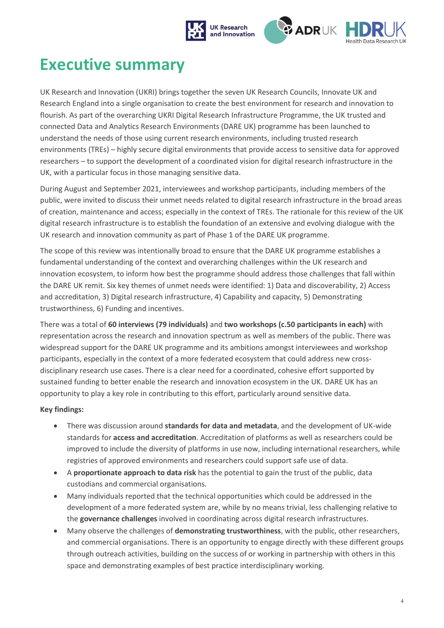



# <span id="page-3-0"></span>**Executive summary**

UK Research and Innovation (UKRI) brings together the seven UK Research Councils, Innovate UK and Research England into a single organisation to create the best environment for research and innovation to flourish. As part of the overarching UKRI Digital Research Infrastructure Programme, the UK trusted and connected Data and Analytics Research Environments (DARE UK) programme has been launched to understand the needs of those using current research environments, including trusted research environments (TREs) – highly secure digital environments that provide access to sensitive data for approved researchers – to support the development of a coordinated vision for digital research infrastructure in the UK, with a particular focus in those managing sensitive data.

During August and September 2021, interviewees and workshop participants, including members of the public, were invited to discuss their unmet needs related to digital research infrastructure in the broad areas of creation, maintenance and access; especially in the context of TREs. The rationale for this review of the UK digital research infrastructure is to establish the foundation of an extensive and evolving dialogue with the UK research and innovation community as part of Phase 1 of the DARE UK programme.

The scope of this review was intentionally broad to ensure that the DARE UK programme establishes a fundamental understanding of the context and overarching challenges within the UK research and innovation ecosystem, to inform how best the programme should address those challenges that fall within the DARE UK remit. Six key themes of unmet needs were identified: 1) Data and discoverability, 2) Access and accreditation, 3) Digital research infrastructure, 4) Capability and capacity, 5) Demonstrating trustworthiness, 6) Funding and incentives.

There was a total of **60 interviews (79 individuals)** and **two workshops (c.50 participants in each)** with representation across the research and innovation spectrum as well as members of the public. There was widespread support for the DARE UK programme and its ambitions amongst interviewees and workshop participants, especially in the context of a more federated ecosystem that could address new crossdisciplinary research use cases. There is a clear need for a coordinated, cohesive effort supported by sustained funding to better enable the research and innovation ecosystem in the UK. DARE UK has an opportunity to play a key role in contributing to this effort, particularly around sensitive data.

#### **Key findings:**

- There was discussion around **standards for data and metadata**, and the development of UK-wide standards for **access and accreditation**. Accreditation of platforms as well as researchers could be improved to include the diversity of platforms in use now, including international researchers, while registries of approved environments and researchers could support safe use of data.
- A **proportionate approach to data risk** has the potential to gain the trust of the public, data custodians and commercial organisations.
- Many individuals reported that the technical opportunities which could be addressed in the development of a more federated system are, while by no means trivial, less challenging relative to the **governance challenges** involved in coordinating across digital research infrastructures.
- Many observe the challenges of **demonstrating trustworthiness**, with the public, other researchers, and commercial organisations. There is an opportunity to engage directly with these different groups through outreach activities, building on the success of or working in partnership with others in this space and demonstrating examples of best practice interdisciplinary working.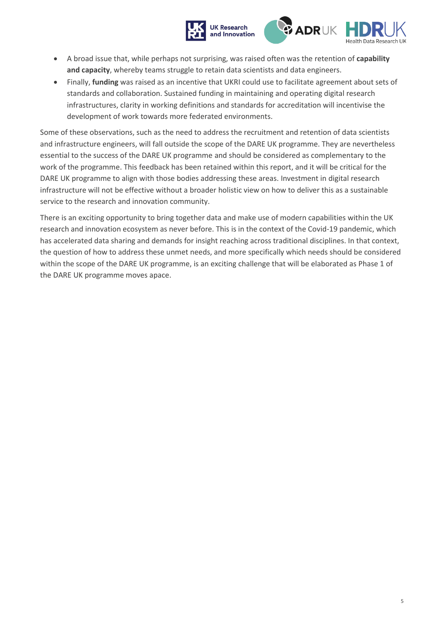



- A broad issue that, while perhaps not surprising, was raised often was the retention of **capability and capacity**, whereby teams struggle to retain data scientists and data engineers.
- Finally, **funding** was raised as an incentive that UKRI could use to facilitate agreement about sets of standards and collaboration. Sustained funding in maintaining and operating digital research infrastructures, clarity in working definitions and standards for accreditation will incentivise the development of work towards more federated environments.

Some of these observations, such as the need to address the recruitment and retention of data scientists and infrastructure engineers, will fall outside the scope of the DARE UK programme. They are nevertheless essential to the success of the DARE UK programme and should be considered as complementary to the work of the programme. This feedback has been retained within this report, and it will be critical for the DARE UK programme to align with those bodies addressing these areas. Investment in digital research infrastructure will not be effective without a broader holistic view on how to deliver this as a sustainable service to the research and innovation community.

There is an exciting opportunity to bring together data and make use of modern capabilities within the UK research and innovation ecosystem as never before. This is in the context of the Covid-19 pandemic, which has accelerated data sharing and demands for insight reaching across traditional disciplines. In that context, the question of how to address these unmet needs, and more specifically which needs should be considered within the scope of the DARE UK programme, is an exciting challenge that will be elaborated as Phase 1 of the DARE UK programme moves apace.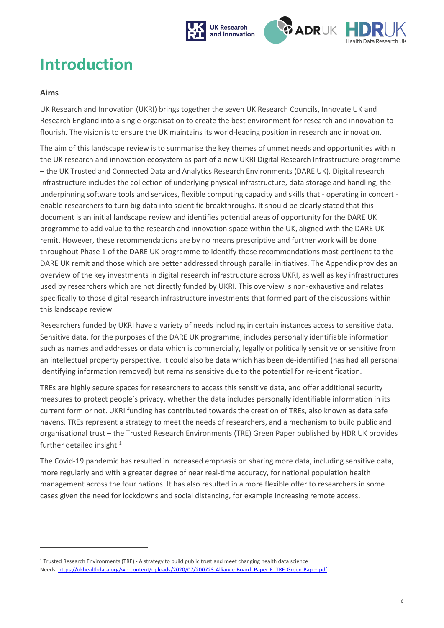



# <span id="page-5-0"></span>**Introduction**

#### **Aims**

UK Research and Innovation (UKRI) brings together the seven UK Research Councils, Innovate UK and Research England into a single organisation to create the best environment for research and innovation to flourish. The vision is to ensure the UK maintains its world-leading position in research and innovation.

The aim of this landscape review is to summarise the key themes of unmet needs and opportunities within the UK research and innovation ecosystem as part of a new UKRI Digital Research Infrastructure programme – the UK Trusted and Connected Data and Analytics Research Environments (DARE UK). Digital research infrastructure includes the collection of underlying physical infrastructure, data storage and handling, the underpinning software tools and services, flexible computing capacity and skills that - operating in concert enable researchers to turn big data into scientific breakthroughs. It should be clearly stated that this document is an initial landscape review and identifies potential areas of opportunity for the DARE UK programme to add value to the research and innovation space within the UK, aligned with the DARE UK remit. However, these recommendations are by no means prescriptive and further work will be done throughout Phase 1 of the DARE UK programme to identify those recommendations most pertinent to the DARE UK remit and those which are better addressed through parallel initiatives. The Appendix provides an overview of the key investments in digital research infrastructure across UKRI, as well as key infrastructures used by researchers which are not directly funded by UKRI. This overview is non-exhaustive and relates specifically to those digital research infrastructure investments that formed part of the discussions within this landscape review.

Researchers funded by UKRI have a variety of needs including in certain instances access to sensitive data. Sensitive data, for the purposes of the DARE UK programme, includes personally identifiable information such as names and addresses or data which is commercially, legally or politically sensitive or sensitive from an intellectual property perspective. It could also be data which has been de-identified (has had all personal identifying information removed) but remains sensitive due to the potential for re-identification.

TREs are highly secure spaces for researchers to access this sensitive data, and offer additional security measures to protect people's privacy, whether the data includes personally identifiable information in its current form or not. UKRI funding has contributed towards the creation of TREs, also known as data safe havens. TREs represent a strategy to meet the needs of researchers, and a mechanism to build public and organisational trust – the Trusted Research Environments (TRE) Green Paper published by HDR UK provides further detailed insight.<sup>1</sup>

The Covid-19 pandemic has resulted in increased emphasis on sharing more data, including sensitive data, more regularly and with a greater degree of near real-time accuracy, for national population health management across the four nations. It has also resulted in a more flexible offer to researchers in some cases given the need for lockdowns and social distancing, for example increasing remote access.

<sup>1</sup> Trusted Research Environments (TRE) - A strategy to build public trust and meet changing health data science Needs[: https://ukhealthdata.org/wp-content/uploads/2020/07/200723-Alliance-Board\\_Paper-E\\_TRE-Green-Paper.pdf](https://ukhealthdata.org/wp-content/uploads/2020/07/200723-Alliance-Board_Paper-E_TRE-Green-Paper.pdf)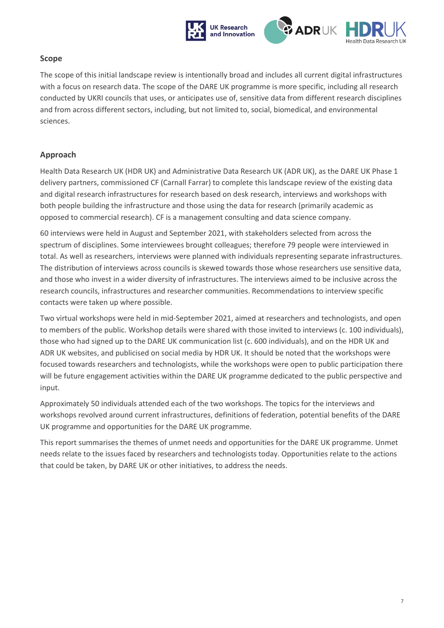

#### **Scope**

The scope of this initial landscape review is intentionally broad and includes all current digital infrastructures with a focus on research data. The scope of the DARE UK programme is more specific, including all research conducted by UKRI councils that uses, or anticipates use of, sensitive data from different research disciplines and from across different sectors, including, but not limited to, social, biomedical, and environmental sciences.

#### **Approach**

Health Data Research UK (HDR UK) and Administrative Data Research UK (ADR UK), as the DARE UK Phase 1 delivery partners, commissioned CF (Carnall Farrar) to complete this landscape review of the existing data and digital research infrastructures for research based on desk research, interviews and workshops with both people building the infrastructure and those using the data for research (primarily academic as opposed to commercial research). CF is a management consulting and data science company.

60 interviews were held in August and September 2021, with stakeholders selected from across the spectrum of disciplines. Some interviewees brought colleagues; therefore 79 people were interviewed in total. As well as researchers, interviews were planned with individuals representing separate infrastructures. The distribution of interviews across councils is skewed towards those whose researchers use sensitive data, and those who invest in a wider diversity of infrastructures. The interviews aimed to be inclusive across the research councils, infrastructures and researcher communities. Recommendations to interview specific contacts were taken up where possible.

Two virtual workshops were held in mid-September 2021, aimed at researchers and technologists, and open to members of the public. Workshop details were shared with those invited to interviews (c. 100 individuals), those who had signed up to the DARE UK communication list (c. 600 individuals), and on the HDR UK and ADR UK websites, and publicised on social media by HDR UK. It should be noted that the workshops were focused towards researchers and technologists, while the workshops were open to public participation there will be future engagement activities within the DARE UK programme dedicated to the public perspective and input.

Approximately 50 individuals attended each of the two workshops. The topics for the interviews and workshops revolved around current infrastructures, definitions of federation, potential benefits of the DARE UK programme and opportunities for the DARE UK programme.

This report summarises the themes of unmet needs and opportunities for the DARE UK programme. Unmet needs relate to the issues faced by researchers and technologists today. Opportunities relate to the actions that could be taken, by DARE UK or other initiatives, to address the needs.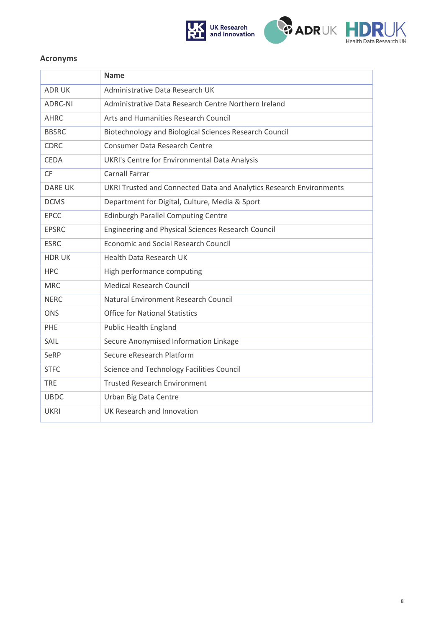





#### **Acronyms**

|                | <b>Name</b>                                                         |  |  |  |  |  |
|----------------|---------------------------------------------------------------------|--|--|--|--|--|
| <b>ADRUK</b>   | Administrative Data Research UK                                     |  |  |  |  |  |
| ADRC-NI        | Administrative Data Research Centre Northern Ireland                |  |  |  |  |  |
| <b>AHRC</b>    | Arts and Humanities Research Council                                |  |  |  |  |  |
| <b>BBSRC</b>   | Biotechnology and Biological Sciences Research Council              |  |  |  |  |  |
| <b>CDRC</b>    | <b>Consumer Data Research Centre</b>                                |  |  |  |  |  |
| <b>CEDA</b>    | UKRI's Centre for Environmental Data Analysis                       |  |  |  |  |  |
| <b>CF</b>      | <b>Carnall Farrar</b>                                               |  |  |  |  |  |
| <b>DARE UK</b> | UKRI Trusted and Connected Data and Analytics Research Environments |  |  |  |  |  |
| <b>DCMS</b>    | Department for Digital, Culture, Media & Sport                      |  |  |  |  |  |
| <b>EPCC</b>    | <b>Edinburgh Parallel Computing Centre</b>                          |  |  |  |  |  |
| <b>EPSRC</b>   | Engineering and Physical Sciences Research Council                  |  |  |  |  |  |
| <b>ESRC</b>    | <b>Economic and Social Research Council</b>                         |  |  |  |  |  |
| <b>HDRUK</b>   | <b>Health Data Research UK</b>                                      |  |  |  |  |  |
| <b>HPC</b>     | High performance computing                                          |  |  |  |  |  |
| <b>MRC</b>     | <b>Medical Research Council</b>                                     |  |  |  |  |  |
| <b>NERC</b>    | Natural Environment Research Council                                |  |  |  |  |  |
| <b>ONS</b>     | <b>Office for National Statistics</b>                               |  |  |  |  |  |
| PHE            | <b>Public Health England</b>                                        |  |  |  |  |  |
| SAIL           | Secure Anonymised Information Linkage                               |  |  |  |  |  |
| SeRP           | Secure eResearch Platform                                           |  |  |  |  |  |
| <b>STFC</b>    | Science and Technology Facilities Council                           |  |  |  |  |  |
| <b>TRE</b>     | <b>Trusted Research Environment</b>                                 |  |  |  |  |  |
| <b>UBDC</b>    | Urban Big Data Centre                                               |  |  |  |  |  |
| <b>UKRI</b>    | UK Research and Innovation                                          |  |  |  |  |  |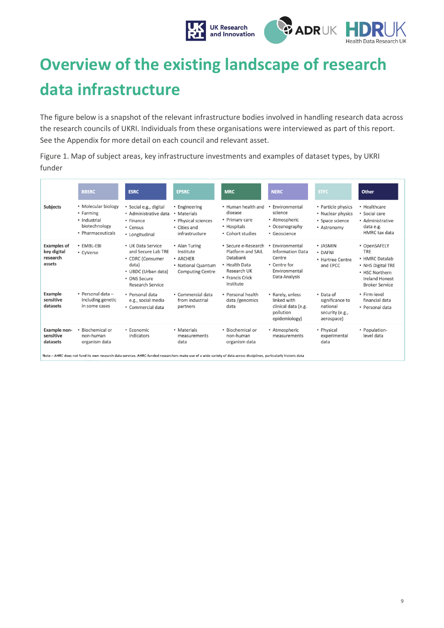

# <span id="page-8-0"></span>**Overview of the existing landscape of research data infrastructure**

The figure below is a snapshot of the relevant infrastructure bodies involved in handling research data across the research councils of UKRI. Individuals from these organisations were interviewed as part of this report. See the Appendix for more detail on each council and relevant asset.

Figure 1. Map of subject areas, key infrastructure investments and examples of dataset types, by UKRI funder

|                                                         | <b>BBSRC</b>                                                                           | <b>ESRC</b>                                                                                                                     | <b>EPSRC</b>                                                                            | <b>MRC</b>                                                                                                           | <b>NERC</b>                                                                                          | <b>STFC</b>                                                               | Other                                                                                                                                 |
|---------------------------------------------------------|----------------------------------------------------------------------------------------|---------------------------------------------------------------------------------------------------------------------------------|-----------------------------------------------------------------------------------------|----------------------------------------------------------------------------------------------------------------------|------------------------------------------------------------------------------------------------------|---------------------------------------------------------------------------|---------------------------------------------------------------------------------------------------------------------------------------|
| Subjects                                                | • Molecular biology<br>• Farming<br>• Industrial<br>biotechnology<br>• Pharmaceuticals | • Social e.g., digital<br>• Administrative data<br>• Finance<br>• Census<br>• Longitudinal                                      | • Engineering<br>• Materials<br>• Physical sciences<br>• Cities and<br>infrastructure   | . Human health and<br>disease<br>• Primary care<br>• Hospitals<br>• Cohort studies                                   | Environmental<br>science<br>• Atmospheric<br>• Oceanography<br>• Geoscience                          | • Particle physics<br>• Nuclear physics<br>• Space science<br>• Astronomy | • Healthcare<br>• Social care<br>• Administrative<br>data e.g.<br>HMRC tax data                                                       |
| <b>Examples of</b><br>key digital<br>research<br>assets | • EMBL-EBI<br>• CvVerse                                                                | • UK Data Service<br>and Secure Lab TRE<br>• CDRC (Consumer<br>data)<br>• UBDC (Urban data)<br>• ONS Secure<br>Research Service | • Alan Turing<br>Institute<br>• ARCHER<br>• National Quantum<br><b>Computing Centre</b> | · Secure e-Research<br>Platform and SAIL<br>Databank<br>• Health Data<br>Research UK<br>• Francis Crick<br>Institute | Environmental<br><b>Information Data</b><br>Centre<br>• Centre for<br>Environmental<br>Data Analysis | • JASMIN<br>• DAFNI<br>• Hartree Centre<br>and EPCC                       | • OpenSAFELY<br><b>TRE</b><br>• HMRC Datalab<br>• NHS Digital TRE<br>• HSC Northern<br><b>Ireland Honest</b><br><b>Broker Service</b> |
| Example<br>sensitive<br>datasets                        | $\bullet$ Personal data -<br>including genetic<br>in some cases                        | · Personal data<br>e.g., social media<br>• Commercial data                                                                      | • Commercial data<br>from industrial<br>partners                                        | · Personal health<br>data /genomics<br>data                                                                          | • Rarely, unless<br>linked with<br>clinical data (e.g.<br>pollution<br>epidemiology)                 | • Data of<br>significance to<br>national<br>security (e.g.,<br>aerospace) | · Firm-level<br>financial data<br>· Personal data                                                                                     |
| <b>Example non-</b><br>sensitive<br>datasets            | Biochemical or<br>non-human<br>organism data                                           | • Economic<br>indicators                                                                                                        | • Materials<br>measurements<br>data                                                     | · Biochemical or<br>non-human<br>organism data                                                                       | • Atmospheric<br>measurements                                                                        | • Physical<br>experimental<br>data                                        | • Population-<br>level data                                                                                                           |

Note - AHRC does not fund its own research data services. AHRC-funded researchers make use of a wide variety of data across disciplines, particularly historic data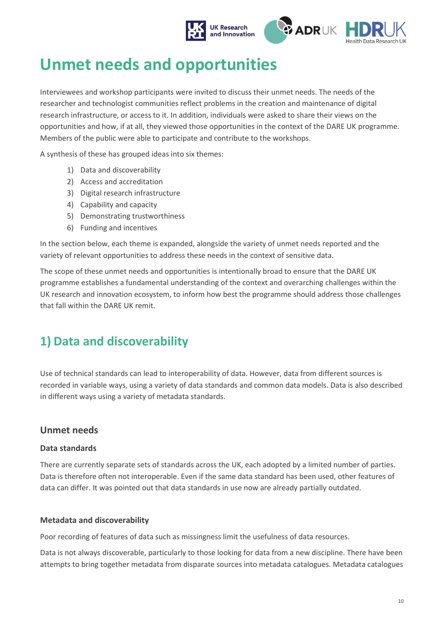

# <span id="page-9-0"></span>**Unmet needs and opportunities**

Interviewees and workshop participants were invited to discuss their unmet needs. The needs of the researcher and technologist communities reflect problems in the creation and maintenance of digital research infrastructure, or access to it. In addition, individuals were asked to share their views on the opportunities and how, if at all, they viewed those opportunities in the context of the DARE UK programme. Members of the public were able to participate and contribute to the workshops.

A synthesis of these has grouped ideas into six themes:

- 1) Data and discoverability
- 2) Access and accreditation
- 3) Digital research infrastructure
- 4) Capability and capacity
- 5) Demonstrating trustworthiness
- 6) Funding and incentives

In the section below, each theme is expanded, alongside the variety of unmet needs reported and the variety of relevant opportunities to address these needs in the context of sensitive data.

The scope of these unmet needs and opportunities is intentionally broad to ensure that the DARE UK programme establishes a fundamental understanding of the context and overarching challenges within the UK research and innovation ecosystem, to inform how best the programme should address those challenges that fall within the DARE UK remit.

## <span id="page-9-1"></span>**1) Data and discoverability**

Use of technical standards can lead to interoperability of data. However, data from different sources is recorded in variable ways, using a variety of data standards and common data models. Data is also described in different ways using a variety of metadata standards.

### <span id="page-9-2"></span>**Unmet needs**

#### **Data standards**

There are currently separate sets of standards across the UK, each adopted by a limited number of parties. Data is therefore often not interoperable. Even if the same data standard has been used, other features of data can differ. It was pointed out that data standards in use now are already partially outdated.

#### **Metadata and discoverability**

Poor recording of features of data such as missingness limit the usefulness of data resources.

Data is not always discoverable, particularly to those looking for data from a new discipline. There have been attempts to bring together metadata from disparate sources into metadata catalogues. Metadata catalogues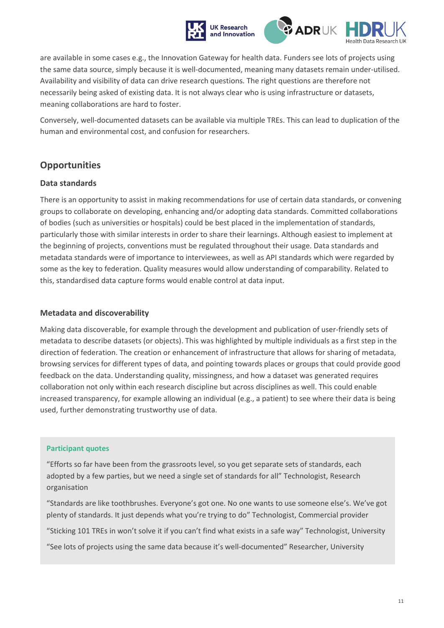

are available in some cases e.g., the Innovation Gateway for health data. Funders see lots of projects using the same data source, simply because it is well-documented, meaning many datasets remain under-utilised. Availability and visibility of data can drive research questions. The right questions are therefore not necessarily being asked of existing data. It is not always clear who is using infrastructure or datasets, meaning collaborations are hard to foster.

Conversely, well-documented datasets can be available via multiple TREs. This can lead to duplication of the human and environmental cost, and confusion for researchers.

### <span id="page-10-0"></span>**Opportunities**

#### **Data standards**

There is an opportunity to assist in making recommendations for use of certain data standards, or convening groups to collaborate on developing, enhancing and/or adopting data standards. Committed collaborations of bodies (such as universities or hospitals) could be best placed in the implementation of standards, particularly those with similar interests in order to share their learnings. Although easiest to implement at the beginning of projects, conventions must be regulated throughout their usage. Data standards and metadata standards were of importance to interviewees, as well as API standards which were regarded by some as the key to federation. Quality measures would allow understanding of comparability. Related to this, standardised data capture forms would enable control at data input.

#### **Metadata and discoverability**

Making data discoverable, for example through the development and publication of user-friendly sets of metadata to describe datasets (or objects). This was highlighted by multiple individuals as a first step in the direction of federation. The creation or enhancement of infrastructure that allows for sharing of metadata, browsing services for different types of data, and pointing towards places or groups that could provide good feedback on the data. Understanding quality, missingness, and how a dataset was generated requires collaboration not only within each research discipline but across disciplines as well. This could enable increased transparency, for example allowing an individual (e.g., a patient) to see where their data is being used, further demonstrating trustworthy use of data.

#### **Participant quotes**

"Efforts so far have been from the grassroots level, so you get separate sets of standards, each adopted by a few parties, but we need a single set of standards for all" Technologist, Research organisation

"Standards are like toothbrushes. Everyone's got one. No one wants to use someone else's. We've got plenty of standards. It just depends what you're trying to do" Technologist, Commercial provider

"Sticking 101 TREs in won't solve it if you can't find what exists in a safe way" Technologist, University

"See lots of projects using the same data because it's well-documented" Researcher, University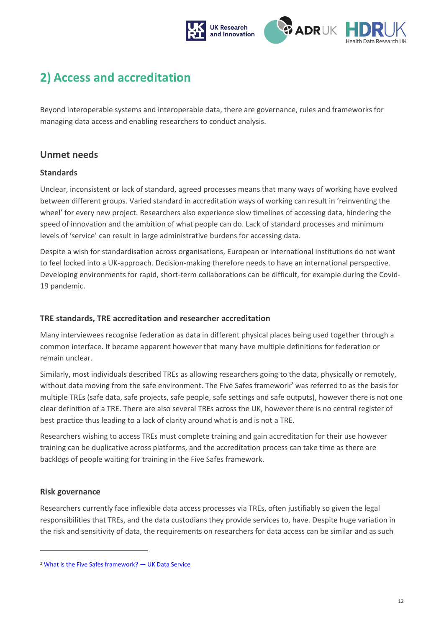

## <span id="page-11-0"></span>**2) Access and accreditation**

Beyond interoperable systems and interoperable data, there are governance, rules and frameworks for managing data access and enabling researchers to conduct analysis.

### <span id="page-11-1"></span>**Unmet needs**

#### **Standards**

Unclear, inconsistent or lack of standard, agreed processes means that many ways of working have evolved between different groups. Varied standard in accreditation ways of working can result in 'reinventing the wheel' for every new project. Researchers also experience slow timelines of accessing data, hindering the speed of innovation and the ambition of what people can do. Lack of standard processes and minimum levels of 'service' can result in large administrative burdens for accessing data.

Despite a wish for standardisation across organisations, European or international institutions do not want to feel locked into a UK-approach. Decision-making therefore needs to have an international perspective. Developing environments for rapid, short-term collaborations can be difficult, for example during the Covid-19 pandemic.

#### **TRE standards, TRE accreditation and researcher accreditation**

Many interviewees recognise federation as data in different physical places being used together through a common interface. It became apparent however that many have multiple definitions for federation or remain unclear.

Similarly, most individuals described TREs as allowing researchers going to the data, physically or remotely, without data moving from the safe environment. The Five Safes framework<sup>2</sup> was referred to as the basis for multiple TREs (safe data, safe projects, safe people, safe settings and safe outputs), however there is not one clear definition of a TRE. There are also several TREs across the UK, however there is no central register of best practice thus leading to a lack of clarity around what is and is not a TRE.

Researchers wishing to access TREs must complete training and gain accreditation for their use however training can be duplicative across platforms, and the accreditation process can take time as there are backlogs of people waiting for training in the Five Safes framework.

#### **Risk governance**

Researchers currently face inflexible data access processes via TREs, often justifiably so given the legal responsibilities that TREs, and the data custodians they provide services to, have. Despite huge variation in the risk and sensitivity of data, the requirements on researchers for data access can be similar and as such

<sup>2</sup> [What is the Five Safes framework?](https://ukdataservice.ac.uk/help/secure-lab/what-is-the-five-safes-framework/) — UK Data Service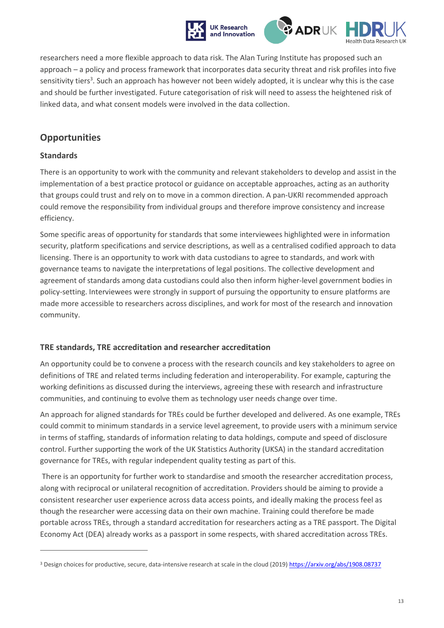

researchers need a more flexible approach to data risk. The Alan Turing Institute has proposed such an approach – a policy and process framework that incorporates data security threat and risk profiles into five sensitivity tiers<sup>3</sup>. Such an approach has however not been widely adopted, it is unclear why this is the case and should be further investigated. Future categorisation of risk will need to assess the heightened risk of linked data, and what consent models were involved in the data collection.

### <span id="page-12-0"></span>**Opportunities**

#### **Standards**

There is an opportunity to work with the community and relevant stakeholders to develop and assist in the implementation of a best practice protocol or guidance on acceptable approaches, acting as an authority that groups could trust and rely on to move in a common direction. A pan-UKRI recommended approach could remove the responsibility from individual groups and therefore improve consistency and increase efficiency.

Some specific areas of opportunity for standards that some interviewees highlighted were in information security, platform specifications and service descriptions, as well as a centralised codified approach to data licensing. There is an opportunity to work with data custodians to agree to standards, and work with governance teams to navigate the interpretations of legal positions. The collective development and agreement of standards among data custodians could also then inform higher-level government bodies in policy-setting. Interviewees were strongly in support of pursuing the opportunity to ensure platforms are made more accessible to researchers across disciplines, and work for most of the research and innovation community.

#### **TRE standards, TRE accreditation and researcher accreditation**

An opportunity could be to convene a process with the research councils and key stakeholders to agree on definitions of TRE and related terms including federation and interoperability. For example, capturing the working definitions as discussed during the interviews, agreeing these with research and infrastructure communities, and continuing to evolve them as technology user needs change over time.

An approach for aligned standards for TREs could be further developed and delivered. As one example, TREs could commit to minimum standards in a service level agreement, to provide users with a minimum service in terms of staffing, standards of information relating to data holdings, compute and speed of disclosure control. Further supporting the work of the UK Statistics Authority (UKSA) in the standard accreditation governance for TREs, with regular independent quality testing as part of this.

There is an opportunity for further work to standardise and smooth the researcher accreditation process, along with reciprocal or unilateral recognition of accreditation. Providers should be aiming to provide a consistent researcher user experience across data access points, and ideally making the process feel as though the researcher were accessing data on their own machine. Training could therefore be made portable across TREs, through a standard accreditation for researchers acting as a TRE passport. The Digital Economy Act (DEA) already works as a passport in some respects, with shared accreditation across TREs.

<sup>&</sup>lt;sup>3</sup> Design choices for productive, secure, data-intensive research at scale in the cloud (2019)<https://arxiv.org/abs/1908.08737>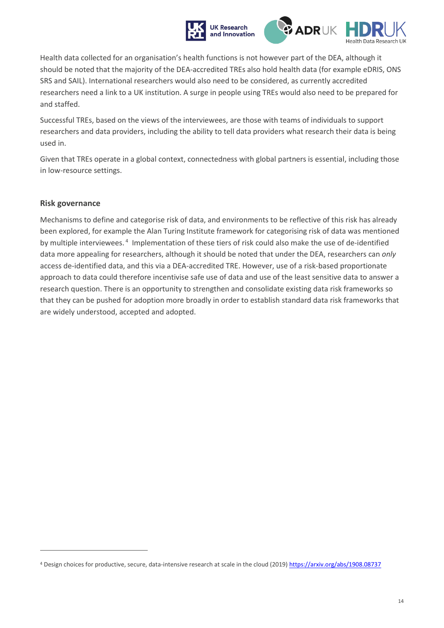

Health data collected for an organisation's health functions is not however part of the DEA, although it should be noted that the majority of the DEA-accredited TREs also hold health data (for example eDRIS, ONS SRS and SAIL). International researchers would also need to be considered, as currently accredited researchers need a link to a UK institution. A surge in people using TREs would also need to be prepared for and staffed.

Successful TREs, based on the views of the interviewees, are those with teams of individuals to support researchers and data providers, including the ability to tell data providers what research their data is being used in.

Given that TREs operate in a global context, connectedness with global partners is essential, including those in low-resource settings.

#### **Risk governance**

Mechanisms to define and categorise risk of data, and environments to be reflective of this risk has already been explored, for example the Alan Turing Institute framework for categorising risk of data was mentioned by multiple interviewees.<sup>4</sup> Implementation of these tiers of risk could also make the use of de-identified data more appealing for researchers, although it should be noted that under the DEA, researchers can *only* access de-identified data, and this via a DEA-accredited TRE. However, use of a risk-based proportionate approach to data could therefore incentivise safe use of data and use of the least sensitive data to answer a research question. There is an opportunity to strengthen and consolidate existing data risk frameworks so that they can be pushed for adoption more broadly in order to establish standard data risk frameworks that are widely understood, accepted and adopted.

<sup>4</sup> Design choices for productive, secure, data-intensive research at scale in the cloud (2019)<https://arxiv.org/abs/1908.08737>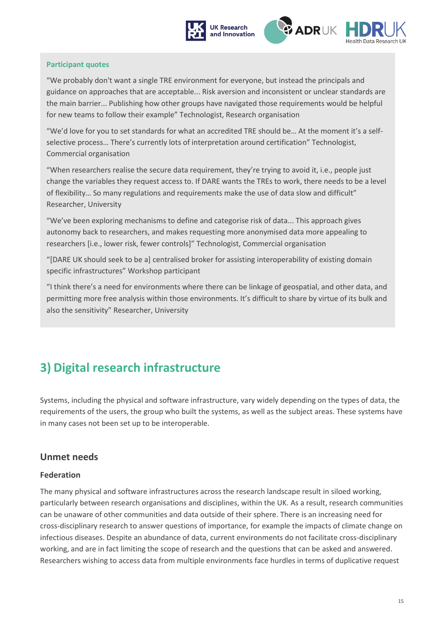



#### **Participant quotes**

"We probably don't want a single TRE environment for everyone, but instead the principals and guidance on approaches that are acceptable... Risk aversion and inconsistent or unclear standards are the main barrier... Publishing how other groups have navigated those requirements would be helpful for new teams to follow their example" Technologist, Research organisation

"We'd love for you to set standards for what an accredited TRE should be… At the moment it's a selfselective process… There's currently lots of interpretation around certification" Technologist, Commercial organisation

"When researchers realise the secure data requirement, they're trying to avoid it, i.e., people just change the variables they request access to. If DARE wants the TREs to work, there needs to be a level of flexibility… So many regulations and requirements make the use of data slow and difficult" Researcher, University

"We've been exploring mechanisms to define and categorise risk of data... This approach gives autonomy back to researchers, and makes requesting more anonymised data more appealing to researchers [i.e., lower risk, fewer controls]" Technologist, Commercial organisation

"[DARE UK should seek to be a] centralised broker for assisting interoperability of existing domain specific infrastructures" Workshop participant

"I think there's a need for environments where there can be linkage of geospatial, and other data, and permitting more free analysis within those environments. It's difficult to share by virtue of its bulk and also the sensitivity" Researcher, University

## <span id="page-14-0"></span>**3) Digital research infrastructure**

Systems, including the physical and software infrastructure, vary widely depending on the types of data, the requirements of the users, the group who built the systems, as well as the subject areas. These systems have in many cases not been set up to be interoperable.

### <span id="page-14-1"></span>**Unmet needs**

#### **Federation**

The many physical and software infrastructures across the research landscape result in siloed working, particularly between research organisations and disciplines, within the UK. As a result, research communities can be unaware of other communities and data outside of their sphere. There is an increasing need for cross-disciplinary research to answer questions of importance, for example the impacts of climate change on infectious diseases. Despite an abundance of data, current environments do not facilitate cross-disciplinary working, and are in fact limiting the scope of research and the questions that can be asked and answered. Researchers wishing to access data from multiple environments face hurdles in terms of duplicative request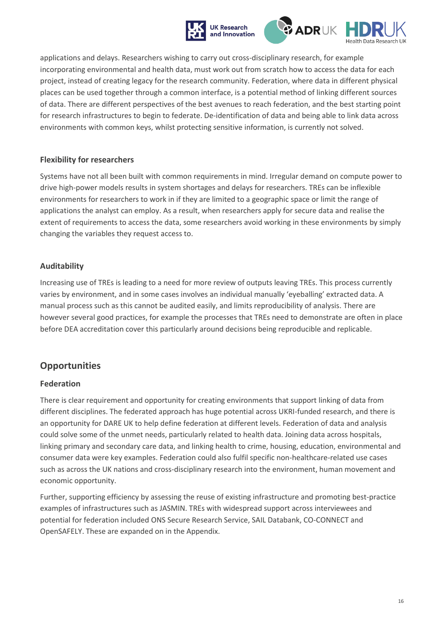

applications and delays. Researchers wishing to carry out cross-disciplinary research, for example incorporating environmental and health data, must work out from scratch how to access the data for each project, instead of creating legacy for the research community. Federation, where data in different physical places can be used together through a common interface, is a potential method of linking different sources of data. There are different perspectives of the best avenues to reach federation, and the best starting point for research infrastructures to begin to federate. De-identification of data and being able to link data across environments with common keys, whilst protecting sensitive information, is currently not solved.

#### **Flexibility for researchers**

Systems have not all been built with common requirements in mind. Irregular demand on compute power to drive high-power models results in system shortages and delays for researchers. TREs can be inflexible environments for researchers to work in if they are limited to a geographic space or limit the range of applications the analyst can employ. As a result, when researchers apply for secure data and realise the extent of requirements to access the data, some researchers avoid working in these environments by simply changing the variables they request access to.

#### **Auditability**

Increasing use of TREs is leading to a need for more review of outputs leaving TREs. This process currently varies by environment, and in some cases involves an individual manually 'eyeballing' extracted data. A manual process such as this cannot be audited easily, and limits reproducibility of analysis. There are however several good practices, for example the processes that TREs need to demonstrate are often in place before DEA accreditation cover this particularly around decisions being reproducible and replicable.

### <span id="page-15-0"></span>**Opportunities**

#### **Federation**

There is clear requirement and opportunity for creating environments that support linking of data from different disciplines. The federated approach has huge potential across UKRI-funded research, and there is an opportunity for DARE UK to help define federation at different levels. Federation of data and analysis could solve some of the unmet needs, particularly related to health data. Joining data across hospitals, linking primary and secondary care data, and linking health to crime, housing, education, environmental and consumer data were key examples. Federation could also fulfil specific non-healthcare-related use cases such as across the UK nations and cross-disciplinary research into the environment, human movement and economic opportunity.

Further, supporting efficiency by assessing the reuse of existing infrastructure and promoting best-practice examples of infrastructures such as JASMIN. TREs with widespread support across interviewees and potential for federation included ONS Secure Research Service, SAIL Databank, CO-CONNECT and OpenSAFELY. These are expanded on in the Appendix.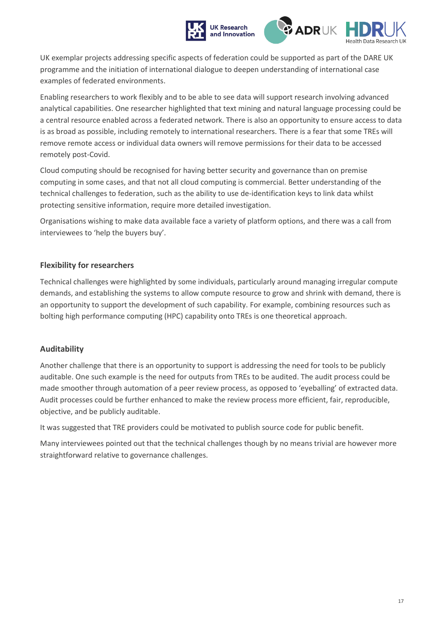

UK exemplar projects addressing specific aspects of federation could be supported as part of the DARE UK programme and the initiation of international dialogue to deepen understanding of international case examples of federated environments.

Enabling researchers to work flexibly and to be able to see data will support research involving advanced analytical capabilities. One researcher highlighted that text mining and natural language processing could be a central resource enabled across a federated network. There is also an opportunity to ensure access to data is as broad as possible, including remotely to international researchers. There is a fear that some TREs will remove remote access or individual data owners will remove permissions for their data to be accessed remotely post-Covid.

Cloud computing should be recognised for having better security and governance than on premise computing in some cases, and that not all cloud computing is commercial. Better understanding of the technical challenges to federation, such as the ability to use de-identification keys to link data whilst protecting sensitive information, require more detailed investigation.

Organisations wishing to make data available face a variety of platform options, and there was a call from interviewees to 'help the buyers buy'.

#### **Flexibility for researchers**

Technical challenges were highlighted by some individuals, particularly around managing irregular compute demands, and establishing the systems to allow compute resource to grow and shrink with demand, there is an opportunity to support the development of such capability. For example, combining resources such as bolting high performance computing (HPC) capability onto TREs is one theoretical approach.

#### **Auditability**

Another challenge that there is an opportunity to support is addressing the need for tools to be publicly auditable. One such example is the need for outputs from TREs to be audited. The audit process could be made smoother through automation of a peer review process, as opposed to 'eyeballing' of extracted data. Audit processes could be further enhanced to make the review process more efficient, fair, reproducible, objective, and be publicly auditable.

It was suggested that TRE providers could be motivated to publish source code for public benefit.

Many interviewees pointed out that the technical challenges though by no means trivial are however more straightforward relative to governance challenges.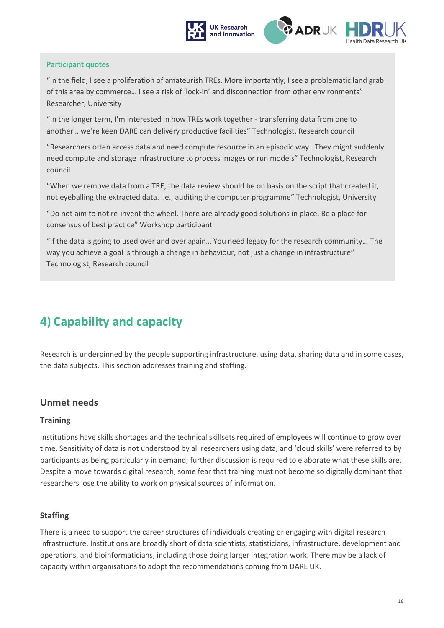



#### **Participant quotes**

"In the field, I see a proliferation of amateurish TREs. More importantly, I see a problematic land grab of this area by commerce… I see a risk of 'lock-in' and disconnection from other environments" Researcher, University

"In the longer term, I'm interested in how TREs work together - transferring data from one to another… we're keen DARE can delivery productive facilities" Technologist, Research council

"Researchers often access data and need compute resource in an episodic way.. They might suddenly need compute and storage infrastructure to process images or run models" Technologist, Research council

"When we remove data from a TRE, the data review should be on basis on the script that created it, not eyeballing the extracted data. i.e., auditing the computer programme" Technologist, University

"Do not aim to not re-invent the wheel. There are already good solutions in place. Be a place for consensus of best practice" Workshop participant

"If the data is going to used over and over again… You need legacy for the research community… The way you achieve a goal is through a change in behaviour, not just a change in infrastructure" Technologist, Research council

## <span id="page-17-0"></span>**4) Capability and capacity**

Research is underpinned by the people supporting infrastructure, using data, sharing data and in some cases, the data subjects. This section addresses training and staffing.

### <span id="page-17-1"></span>**Unmet needs**

#### **Training**

Institutions have skills shortages and the technical skillsets required of employees will continue to grow over time. Sensitivity of data is not understood by all researchers using data, and 'cloud skills' were referred to by participants as being particularly in demand; further discussion is required to elaborate what these skills are. Despite a move towards digital research, some fear that training must not become so digitally dominant that researchers lose the ability to work on physical sources of information.

#### **Staffing**

There is a need to support the career structures of individuals creating or engaging with digital research infrastructure. Institutions are broadly short of data scientists, statisticians, infrastructure, development and operations, and bioinformaticians, including those doing larger integration work. There may be a lack of capacity within organisations to adopt the recommendations coming from DARE UK.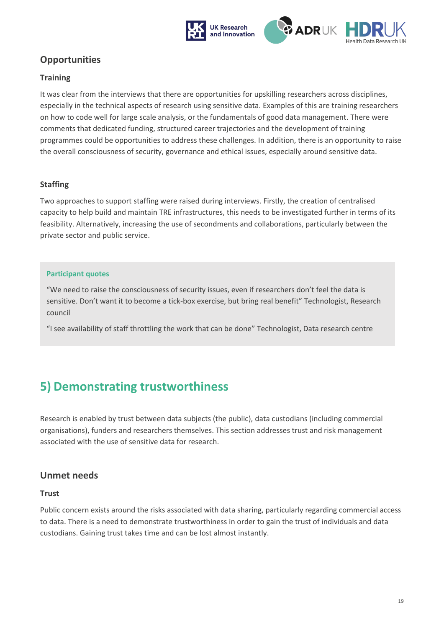

### <span id="page-18-0"></span>**Opportunities**

#### **Training**

It was clear from the interviews that there are opportunities for upskilling researchers across disciplines, especially in the technical aspects of research using sensitive data. Examples of this are training researchers on how to code well for large scale analysis, or the fundamentals of good data management. There were comments that dedicated funding, structured career trajectories and the development of training programmes could be opportunities to address these challenges. In addition, there is an opportunity to raise the overall consciousness of security, governance and ethical issues, especially around sensitive data.

#### **Staffing**

Two approaches to support staffing were raised during interviews. Firstly, the creation of centralised capacity to help build and maintain TRE infrastructures, this needs to be investigated further in terms of its feasibility. Alternatively, increasing the use of secondments and collaborations, particularly between the private sector and public service.

#### **Participant quotes**

"We need to raise the consciousness of security issues, even if researchers don't feel the data is sensitive. Don't want it to become a tick-box exercise, but bring real benefit" Technologist, Research council

"I see availability of staff throttling the work that can be done" Technologist, Data research centre

## <span id="page-18-1"></span>**5) Demonstrating trustworthiness**

Research is enabled by trust between data subjects (the public), data custodians (including commercial organisations), funders and researchers themselves. This section addresses trust and risk management associated with the use of sensitive data for research.

### <span id="page-18-2"></span>**Unmet needs**

#### **Trust**

Public concern exists around the risks associated with data sharing, particularly regarding commercial access to data. There is a need to demonstrate trustworthiness in order to gain the trust of individuals and data custodians. Gaining trust takes time and can be lost almost instantly.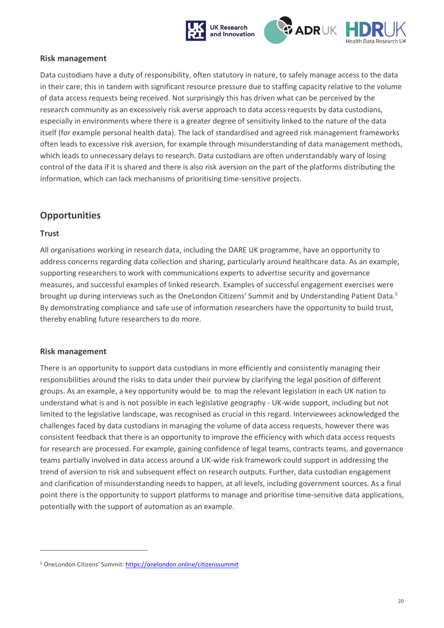

#### **Risk management**

Data custodians have a duty of responsibility, often statutory in nature, to safely manage access to the data in their care; this in tandem with significant resource pressure due to staffing capacity relative to the volume of data access requests being received. Not surprisingly this has driven what can be perceived by the research community as an excessively risk averse approach to data access requests by data custodians, especially in environments where there is a greater degree of sensitivity linked to the nature of the data itself (for example personal health data). The lack of standardised and agreed risk management frameworks often leads to excessive risk aversion, for example through misunderstanding of data management methods, which leads to unnecessary delays to research. Data custodians are often understandably wary of losing control of the data if it is shared and there is also risk aversion on the part of the platforms distributing the information, which can lack mechanisms of prioritising time-sensitive projects.

### <span id="page-19-0"></span>**Opportunities**

#### **Trust**

All organisations working in research data, including the DARE UK programme, have an opportunity to address concerns regarding data collection and sharing, particularly around healthcare data. As an example, supporting researchers to work with communications experts to advertise security and governance measures, and successful examples of linked research. Examples of successful engagement exercises were brought up during interviews such as the OneLondon Citizens' Summit and by Understanding Patient Data.<sup>5</sup> By demonstrating compliance and safe use of information researchers have the opportunity to build trust, thereby enabling future researchers to do more.

#### **Risk management**

There is an opportunity to support data custodians in more efficiently and consistently managing their responsibilities around the risks to data under their purview by clarifying the legal position of different groups. As an example, a key opportunity would be to map the relevant legislation in each UK nation to understand what is and is not possible in each legislative geography - UK-wide support, including but not limited to the legislative landscape, was recognised as crucial in this regard. Interviewees acknowledged the challenges faced by data custodians in managing the volume of data access requests, however there was consistent feedback that there is an opportunity to improve the efficiency with which data access requests for research are processed. For example, gaining confidence of legal teams, contracts teams, and governance teams partially involved in data access around a UK-wide risk framework could support in addressing the trend of aversion to risk and subsequent effect on research outputs. Further, data custodian engagement and clarification of misunderstanding needs to happen, at all levels, including government sources. As a final point there is the opportunity to support platforms to manage and prioritise time-sensitive data applications, potentially with the support of automation as an example.

<sup>5</sup> OneLondon Citizens' Summit[: https://onelondon.online/citizenssummit](https://onelondon.online/citizenssummit)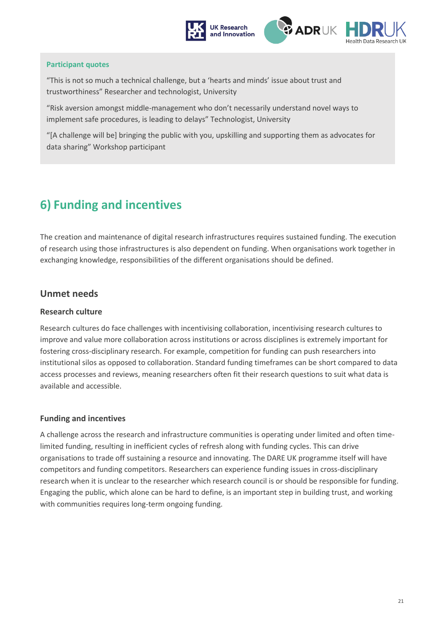

#### **Participant quotes**

"This is not so much a technical challenge, but a 'hearts and minds' issue about trust and trustworthiness" Researcher and technologist, University

"Risk aversion amongst middle-management who don't necessarily understand novel ways to implement safe procedures, is leading to delays" Technologist, University

"[A challenge will be] bringing the public with you, upskilling and supporting them as advocates for data sharing" Workshop participant

## <span id="page-20-0"></span>**6) Funding and incentives**

The creation and maintenance of digital research infrastructures requires sustained funding. The execution of research using those infrastructures is also dependent on funding. When organisations work together in exchanging knowledge, responsibilities of the different organisations should be defined.

#### <span id="page-20-1"></span>**Unmet needs**

#### **Research culture**

Research cultures do face challenges with incentivising collaboration, incentivising research cultures to improve and value more collaboration across institutions or across disciplines is extremely important for fostering cross-disciplinary research. For example, competition for funding can push researchers into institutional silos as opposed to collaboration. Standard funding timeframes can be short compared to data access processes and reviews, meaning researchers often fit their research questions to suit what data is available and accessible.

#### **Funding and incentives**

A challenge across the research and infrastructure communities is operating under limited and often timelimited funding, resulting in inefficient cycles of refresh along with funding cycles. This can drive organisations to trade off sustaining a resource and innovating. The DARE UK programme itself will have competitors and funding competitors. Researchers can experience funding issues in cross-disciplinary research when it is unclear to the researcher which research council is or should be responsible for funding. Engaging the public, which alone can be hard to define, is an important step in building trust, and working with communities requires long-term ongoing funding.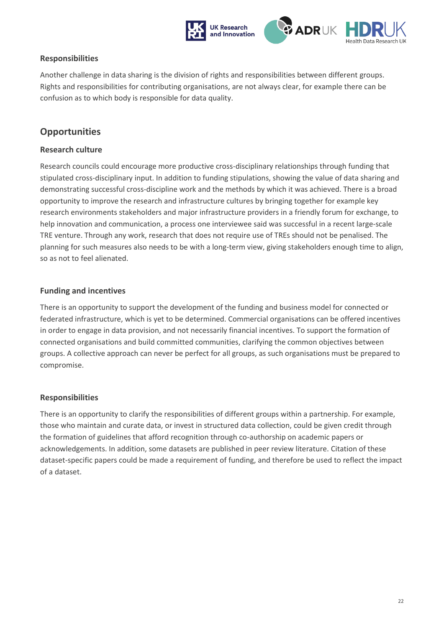

#### **Responsibilities**

Another challenge in data sharing is the division of rights and responsibilities between different groups. Rights and responsibilities for contributing organisations, are not always clear, for example there can be confusion as to which body is responsible for data quality.

### <span id="page-21-0"></span>**Opportunities**

#### **Research culture**

Research councils could encourage more productive cross-disciplinary relationships through funding that stipulated cross-disciplinary input. In addition to funding stipulations, showing the value of data sharing and demonstrating successful cross-discipline work and the methods by which it was achieved. There is a broad opportunity to improve the research and infrastructure cultures by bringing together for example key research environments stakeholders and major infrastructure providers in a friendly forum for exchange, to help innovation and communication, a process one interviewee said was successful in a recent large-scale TRE venture. Through any work, research that does not require use of TREs should not be penalised. The planning for such measures also needs to be with a long-term view, giving stakeholders enough time to align, so as not to feel alienated.

#### **Funding and incentives**

There is an opportunity to support the development of the funding and business model for connected or federated infrastructure, which is yet to be determined. Commercial organisations can be offered incentives in order to engage in data provision, and not necessarily financial incentives. To support the formation of connected organisations and build committed communities, clarifying the common objectives between groups. A collective approach can never be perfect for all groups, as such organisations must be prepared to compromise.

#### **Responsibilities**

There is an opportunity to clarify the responsibilities of different groups within a partnership. For example, those who maintain and curate data, or invest in structured data collection, could be given credit through the formation of guidelines that afford recognition through co-authorship on academic papers or acknowledgements. In addition, some datasets are published in peer review literature. Citation of these dataset-specific papers could be made a requirement of funding, and therefore be used to reflect the impact of a dataset.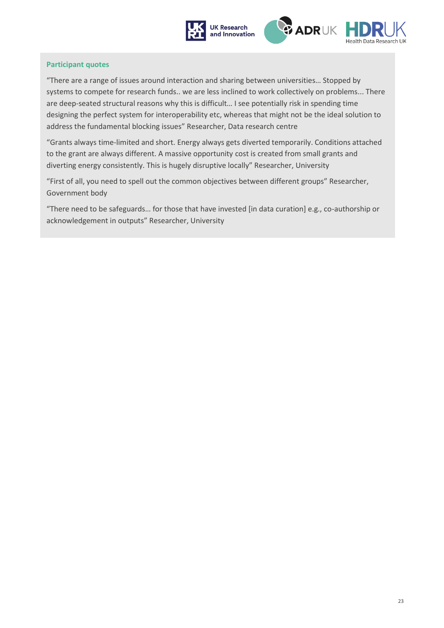



#### **Participant quotes**

"There are a range of issues around interaction and sharing between universities… Stopped by systems to compete for research funds.. we are less inclined to work collectively on problems... There are deep-seated structural reasons why this is difficult… I see potentially risk in spending time designing the perfect system for interoperability etc, whereas that might not be the ideal solution to address the fundamental blocking issues" Researcher, Data research centre

"Grants always time-limited and short. Energy always gets diverted temporarily. Conditions attached to the grant are always different. A massive opportunity cost is created from small grants and diverting energy consistently. This is hugely disruptive locally" Researcher, University

"First of all, you need to spell out the common objectives between different groups" Researcher, Government body

"There need to be safeguards… for those that have invested [in data curation] e.g., co-authorship or acknowledgement in outputs" Researcher, University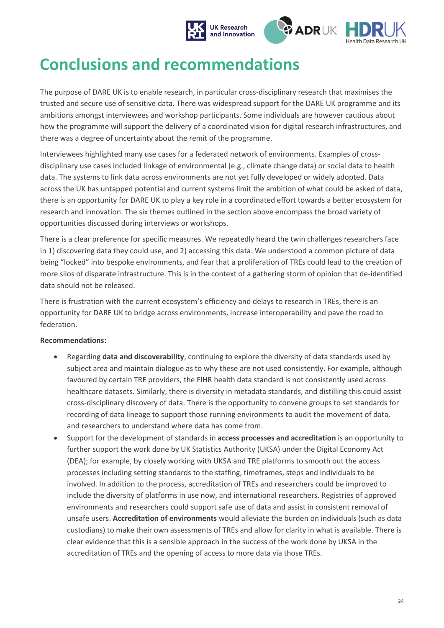

# <span id="page-23-0"></span>**Conclusions and recommendations**

The purpose of DARE UK is to enable research, in particular cross-disciplinary research that maximises the trusted and secure use of sensitive data. There was widespread support for the DARE UK programme and its ambitions amongst interviewees and workshop participants. Some individuals are however cautious about how the programme will support the delivery of a coordinated vision for digital research infrastructures, and there was a degree of uncertainty about the remit of the programme.

Interviewees highlighted many use cases for a federated network of environments. Examples of crossdisciplinary use cases included linkage of environmental (e.g., climate change data) or social data to health data. The systems to link data across environments are not yet fully developed or widely adopted. Data across the UK has untapped potential and current systems limit the ambition of what could be asked of data, there is an opportunity for DARE UK to play a key role in a coordinated effort towards a better ecosystem for research and innovation. The six themes outlined in the section above encompass the broad variety of opportunities discussed during interviews or workshops.

There is a clear preference for specific measures. We repeatedly heard the twin challenges researchers face in 1) discovering data they could use, and 2) accessing this data. We understood a common picture of data being "locked" into bespoke environments, and fear that a proliferation of TREs could lead to the creation of more silos of disparate infrastructure. This is in the context of a gathering storm of opinion that de-identified data should not be released.

There is frustration with the current ecosystem's efficiency and delays to research in TREs, there is an opportunity for DARE UK to bridge across environments, increase interoperability and pave the road to federation.

#### **Recommendations:**

- Regarding **data and discoverability**, continuing to explore the diversity of data standards used by subject area and maintain dialogue as to why these are not used consistently. For example, although favoured by certain TRE providers, the FIHR health data standard is not consistently used across healthcare datasets. Similarly, there is diversity in metadata standards, and distilling this could assist cross-disciplinary discovery of data. There is the opportunity to convene groups to set standards for recording of data lineage to support those running environments to audit the movement of data, and researchers to understand where data has come from.
- Support for the development of standards in **access processes and accreditation** is an opportunity to further support the work done by UK Statistics Authority (UKSA) under the Digital Economy Act (DEA); for example, by closely working with UKSA and TRE platforms to smooth out the access processes including setting standards to the staffing, timeframes, steps and individuals to be involved. In addition to the process, accreditation of TREs and researchers could be improved to include the diversity of platforms in use now, and international researchers. Registries of approved environments and researchers could support safe use of data and assist in consistent removal of unsafe users. **Accreditation of environments** would alleviate the burden on individuals (such as data custodians) to make their own assessments of TREs and allow for clarity in what is available. There is clear evidence that this is a sensible approach in the success of the work done by UKSA in the accreditation of TREs and the opening of access to more data via those TREs.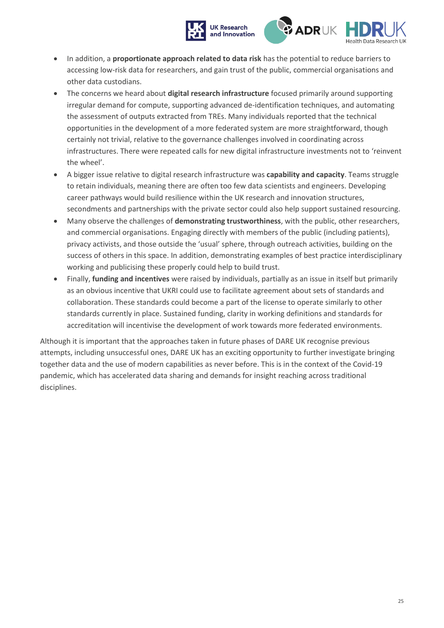



- In addition, a **proportionate approach related to data risk** has the potential to reduce barriers to accessing low-risk data for researchers, and gain trust of the public, commercial organisations and other data custodians.
- The concerns we heard about **digital research infrastructure** focused primarily around supporting irregular demand for compute, supporting advanced de-identification techniques, and automating the assessment of outputs extracted from TREs. Many individuals reported that the technical opportunities in the development of a more federated system are more straightforward, though certainly not trivial, relative to the governance challenges involved in coordinating across infrastructures. There were repeated calls for new digital infrastructure investments not to 'reinvent the wheel'.
- A bigger issue relative to digital research infrastructure was **capability and capacity**. Teams struggle to retain individuals, meaning there are often too few data scientists and engineers. Developing career pathways would build resilience within the UK research and innovation structures, secondments and partnerships with the private sector could also help support sustained resourcing.
- Many observe the challenges of **demonstrating trustworthiness**, with the public, other researchers, and commercial organisations. Engaging directly with members of the public (including patients), privacy activists, and those outside the 'usual' sphere, through outreach activities, building on the success of others in this space. In addition, demonstrating examples of best practice interdisciplinary working and publicising these properly could help to build trust.
- Finally, **funding and incentives** were raised by individuals, partially as an issue in itself but primarily as an obvious incentive that UKRI could use to facilitate agreement about sets of standards and collaboration. These standards could become a part of the license to operate similarly to other standards currently in place. Sustained funding, clarity in working definitions and standards for accreditation will incentivise the development of work towards more federated environments.

Although it is important that the approaches taken in future phases of DARE UK recognise previous attempts, including unsuccessful ones, DARE UK has an exciting opportunity to further investigate bringing together data and the use of modern capabilities as never before. This is in the context of the Covid-19 pandemic, which has accelerated data sharing and demands for insight reaching across traditional disciplines.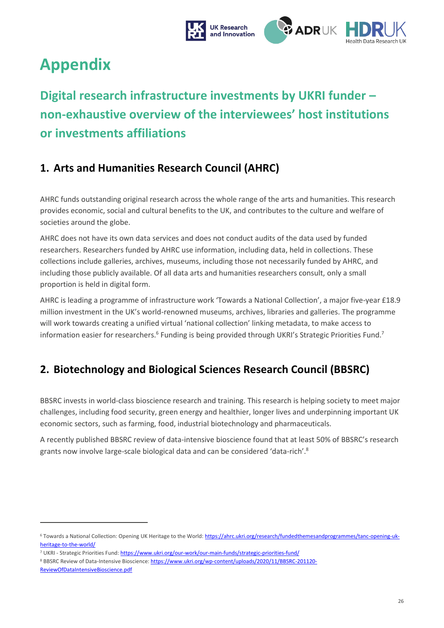

# <span id="page-25-0"></span>**Appendix**

# <span id="page-25-1"></span>**Digital research infrastructure investments by UKRI funder – non-exhaustive overview of the interviewees' host institutions or investments affiliations**

## <span id="page-25-2"></span>**1. Arts and Humanities Research Council (AHRC)**

AHRC funds outstanding original research across the whole range of the arts and humanities. This research provides economic, social and cultural benefits to the UK, and contributes to the culture and welfare of societies around the globe.

AHRC does not have its own data services and does not conduct audits of the data used by funded researchers. Researchers funded by AHRC use information, including data, held in collections. These collections include galleries, archives, museums, including those not necessarily funded by AHRC, and including those publicly available. Of all data arts and humanities researchers consult, only a small proportion is held in digital form.

AHRC is leading a programme of infrastructure work 'Towards a National Collection', a major five-year £18.9 million investment in the UK's world-renowned museums, archives, libraries and galleries. The programme will work towards creating a unified virtual 'national collection' linking metadata, to make access to information easier for researchers.<sup>6</sup> Funding is being provided through UKRI's Strategic Priorities Fund.<sup>7</sup>

## <span id="page-25-3"></span>**2. Biotechnology and Biological Sciences Research Council (BBSRC)**

BBSRC invests in world-class bioscience research and training. This research is helping society to meet major challenges, including food security, green energy and healthier, longer lives and underpinning important UK economic sectors, such as farming, food, industrial biotechnology and pharmaceuticals.

A recently published BBSRC review of data-intensive bioscience found that at least 50% of BBSRC's research grants now involve large-scale biological data and can be considered 'data-rich'.<sup>8</sup>

<sup>6</sup> Towards a National Collection: Opening UK Heritage to the World: [https://ahrc.ukri.org/research/fundedthemesandprogrammes/tanc-opening-uk](https://ahrc.ukri.org/research/fundedthemesandprogrammes/tanc-opening-uk-heritage-to-the-world/)[heritage-to-the-world/](https://ahrc.ukri.org/research/fundedthemesandprogrammes/tanc-opening-uk-heritage-to-the-world/)

<sup>7</sup> UKRI - Strategic Priorities Fund[: https://www.ukri.org/our-work/our-main-funds/strategic-priorities-fund/](https://www.ukri.org/our-work/our-main-funds/strategic-priorities-fund/)

<sup>8</sup> BBSRC Review of Data-Intensive Bioscience[: https://www.ukri.org/wp-content/uploads/2020/11/BBSRC-201120-](https://www.ukri.org/wp-content/uploads/2020/11/BBSRC-201120-ReviewOfDataIntensiveBioscience.pdf) [ReviewOfDataIntensiveBioscience.pdf](https://www.ukri.org/wp-content/uploads/2020/11/BBSRC-201120-ReviewOfDataIntensiveBioscience.pdf)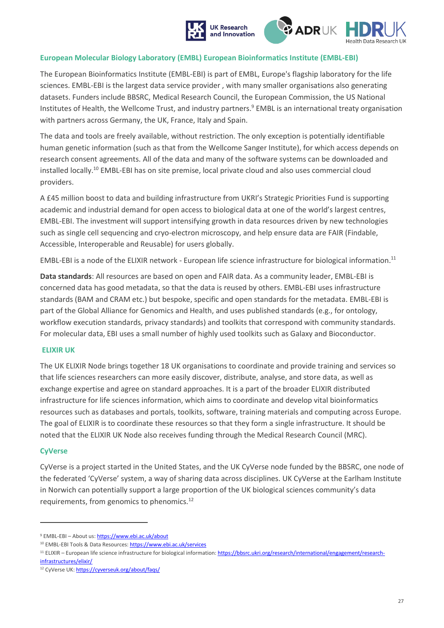

#### <span id="page-26-0"></span>**European Molecular Biology Laboratory (EMBL) European Bioinformatics Institute (EMBL-EBI)**

The European Bioinformatics Institute (EMBL-EBI) is part of EMBL, Europe's flagship laboratory for the life sciences. EMBL-EBI is the largest data service provider , with many smaller organisations also generating datasets. Funders include BBSRC, Medical Research Council, the European Commission, the US National Institutes of Health, the Wellcome Trust, and industry partners. <sup>9</sup> EMBL is an international treaty organisation with partners across Germany, the UK, France, Italy and Spain.

The data and tools are freely available, without restriction. The only exception is potentially identifiable human genetic information (such as that from the Wellcome Sanger Institute), for which access depends on research consent agreements. All of the data and many of the software systems can be downloaded and installed locally.<sup>10</sup> EMBL-EBI has on site premise, local private cloud and also uses commercial cloud providers.

A £45 million boost to data and building infrastructure from UKRI's Strategic Priorities Fund is supporting academic and industrial demand for open access to biological data at one of the world's largest centres, EMBL-EBI. The investment will support intensifying growth in data resources driven by new technologies such as single cell sequencing and cryo-electron microscopy, and help ensure data are FAIR (Findable, Accessible, Interoperable and Reusable) for users globally.

EMBL-EBI is a node of the ELIXIR network - European life science infrastructure for biological information.<sup>11</sup>

**Data standards**: All resources are based on open and FAIR data. As a community leader, EMBL-EBI is concerned data has good metadata, so that the data is reused by others. EMBL-EBI uses infrastructure standards (BAM and CRAM etc.) but bespoke, specific and open standards for the metadata. EMBL-EBI is part of the Global Alliance for Genomics and Health, and uses published standards (e.g., for ontology, workflow execution standards, privacy standards) and toolkits that correspond with community standards. For molecular data, EBI uses a small number of highly used toolkits such as Galaxy and Bioconductor.

#### <span id="page-26-1"></span>**ELIXIR UK**

The UK ELIXIR Node brings together 18 UK organisations to coordinate and provide training and services so that life sciences researchers can more easily discover, distribute, analyse, and store data, as well as exchange expertise and agree on standard approaches. It is a part of the broader ELIXIR distributed infrastructure for life sciences information, which aims to coordinate and develop vital bioinformatics resources such as databases and portals, toolkits, software, training materials and computing across Europe. The goal of ELIXIR is to coordinate these resources so that they form a single infrastructure. It should be noted that the ELIXIR UK Node also receives funding through the Medical Research Council (MRC).

#### <span id="page-26-2"></span>**CyVerse**

CyVerse is a project started in the United States, and the UK CyVerse node funded by the BBSRC, one node of the federated 'CyVerse' system, a way of sharing data across disciplines. UK CyVerse at the Earlham Institute in Norwich can potentially support a large proportion of the UK biological sciences community's data requirements, from genomics to phenomics.<sup>12</sup>

<sup>9</sup> EMBL-EBI – About us[: https://www.ebi.ac.uk/about](https://www.ebi.ac.uk/about)

<sup>10</sup> EMBL-EBI Tools & Data Resources[: https://www.ebi.ac.uk/services](https://www.ebi.ac.uk/services)

<sup>11</sup> ELIXIR – European life science infrastructure for biological information[: https://bbsrc.ukri.org/research/international/engagement/research](https://bbsrc.ukri.org/research/international/engagement/research-infrastructures/elixir/)[infrastructures/elixir/](https://bbsrc.ukri.org/research/international/engagement/research-infrastructures/elixir/)

<sup>12</sup> CyVerse UK[: https://cyverseuk.org/about/faqs/](https://cyverseuk.org/about/faqs/)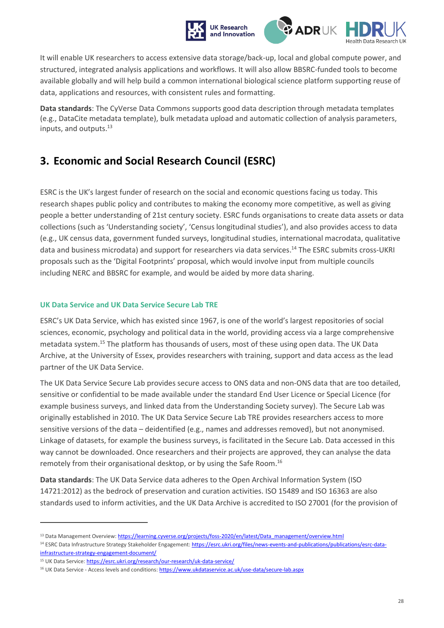

It will enable UK researchers to access extensive data storage/back-up, local and global compute power, and structured, integrated analysis applications and workflows. It will also allow BBSRC-funded tools to become available globally and will help build a common international biological science platform supporting reuse of data, applications and resources, with consistent rules and formatting.

**Data standards**: The CyVerse Data Commons supports good data description through metadata templates (e.g., DataCite metadata template), bulk metadata upload and automatic collection of analysis parameters, inputs, and outputs. 13

## <span id="page-27-0"></span>**3. Economic and Social Research Council (ESRC)**

ESRC is the UK's largest funder of research on the social and economic questions facing us today. This research shapes public policy and contributes to making the economy more competitive, as well as giving people a better understanding of 21st century society. ESRC funds organisations to create data assets or data collections (such as 'Understanding society', 'Census longitudinal studies'), and also provides access to data (e.g., UK census data, government funded surveys, longitudinal studies, international macrodata, qualitative data and business microdata) and support for researchers via data services.<sup>14</sup> The ESRC submits cross-UKRI proposals such as the 'Digital Footprints' proposal, which would involve input from multiple councils including NERC and BBSRC for example, and would be aided by more data sharing.

#### <span id="page-27-1"></span>**UK Data Service and UK Data Service Secure Lab TRE**

ESRC's UK Data Service, which has existed since 1967, is one of the world's largest repositories of social sciences, economic, psychology and political data in the world, providing access via a large comprehensive metadata system. <sup>15</sup> The platform has thousands of users, most of these using open data. The UK Data Archive, at the University of Essex, provides researchers with training, support and data access as the lead partner of the UK Data Service.

The UK Data Service Secure Lab provides secure access to ONS data and non-ONS data that are too detailed, sensitive or confidential to be made available under the standard End User Licence or Special Licence (for example business surveys, and linked data from the Understanding Society survey). The Secure Lab was originally established in 2010. The UK Data Service Secure Lab TRE provides researchers access to more sensitive versions of the data – deidentified (e.g., names and addresses removed), but not anonymised. Linkage of datasets, for example the business surveys, is facilitated in the Secure Lab. Data accessed in this way cannot be downloaded. Once researchers and their projects are approved, they can analyse the data remotely from their organisational desktop, or by using the Safe Room.<sup>16</sup>

**Data standards**: The UK Data Service data adheres to the Open Archival Information System (ISO 14721:2012) as the bedrock of preservation and curation activities. ISO 15489 and ISO 16363 are also standards used to inform activities, and the UK Data Archive is accredited to ISO 27001 (for the provision of

<sup>&</sup>lt;sup>13</sup> Data Management Overview[: https://learning.cyverse.org/projects/foss-2020/en/latest/Data\\_management/overview.html](https://learning.cyverse.org/projects/foss-2020/en/latest/Data_management/overview.html)

<sup>&</sup>lt;sup>14</sup> ESRC Data Infrastructure Strategy Stakeholder Engagement[: https://esrc.ukri.org/files/news-events-and-publications/publications/esrc-data](https://esrc.ukri.org/files/news-events-and-publications/publications/esrc-data-infrastructure-strategy-engagement-document/)[infrastructure-strategy-engagement-document/](https://esrc.ukri.org/files/news-events-and-publications/publications/esrc-data-infrastructure-strategy-engagement-document/)

<sup>15</sup> UK Data Service[: https://esrc.ukri.org/research/our-research/uk-data-service/](https://esrc.ukri.org/research/our-research/uk-data-service/)

<sup>&</sup>lt;sup>16</sup> UK Data Service - Access levels and conditions:<https://www.ukdataservice.ac.uk/use-data/secure-lab.aspx>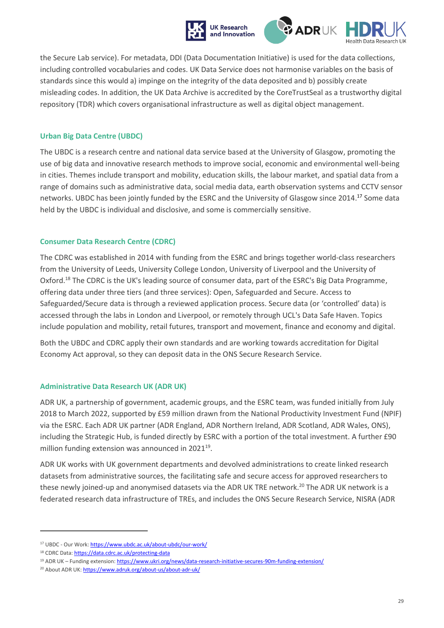

the Secure Lab service). For metadata, DDI (Data Documentation Initiative) is used for the data collections, including controlled vocabularies and codes. UK Data Service does not harmonise variables on the basis of standards since this would a) impinge on the integrity of the data deposited and b) possibly create misleading codes. In addition, the UK Data Archive is accredited by the CoreTrustSeal as a trustworthy digital repository (TDR) which covers organisational infrastructure as well as digital object management.

#### <span id="page-28-0"></span>**Urban Big Data Centre (UBDC)**

The UBDC is a research centre and national data service based at the University of Glasgow, promoting the use of big data and innovative research methods to improve social, economic and environmental well-being in cities. Themes include transport and mobility, education skills, the labour market, and spatial data from a range of domains such as administrative data, social media data, earth observation systems and CCTV sensor networks. UBDC has been jointly funded by the ESRC and the University of Glasgow since 2014.<sup>17</sup> Some data held by the UBDC is individual and disclosive, and some is commercially sensitive.

#### <span id="page-28-1"></span>**Consumer Data Research Centre (CDRC)**

The CDRC was established in 2014 with funding from the ESRC and brings together world-class researchers from the University of Leeds, University College London, University of Liverpool and the University of Oxford.<sup>18</sup> The CDRC is the UK's leading source of consumer data, part of the ESRC's Big Data Programme, offering data under three tiers (and three services): Open, Safeguarded and Secure. Access to Safeguarded/Secure data is through a reviewed application process. Secure data (or 'controlled' data) is accessed through the labs in London and Liverpool, or remotely through UCL's Data Safe Haven. Topics include population and mobility, retail futures, transport and movement, finance and economy and digital.

Both the UBDC and CDRC apply their own standards and are working towards accreditation for Digital Economy Act approval, so they can deposit data in the ONS Secure Research Service.

#### <span id="page-28-2"></span>**Administrative Data Research UK (ADR UK)**

ADR UK, a partnership of government, academic groups, and the ESRC team, was funded initially from July 2018 to March 2022, supported by £59 million drawn from the National Productivity Investment Fund (NPIF) via the ESRC. Each ADR UK partner (ADR England, ADR Northern Ireland, ADR Scotland, ADR Wales, ONS), including the Strategic Hub, is funded directly by ESRC with a portion of the total investment. A further £90 million funding extension was announced in  $2021^{19}$ .

ADR UK works with UK government departments and devolved administrations to create linked research datasets from administrative sources, the facilitating safe and secure access for approved researchers to these newly joined-up and anonymised datasets via the ADR UK TRE network. <sup>20</sup> The ADR UK network is a federated research data infrastructure of TREs, and includes the ONS Secure Research Service, NISRA (ADR

<sup>17</sup> UBDC - Our Work[: https://www.ubdc.ac.uk/about-ubdc/our-work/](https://www.ubdc.ac.uk/about-ubdc/our-work/)

<sup>18</sup> CDRC Data[: https://data.cdrc.ac.uk/protecting-data](https://data.cdrc.ac.uk/protecting-data)

<sup>19</sup> ADR UK – Funding extension[: https://www.ukri.org/news/data-research-initiative-secures-90m-funding-extension/](https://www.ukri.org/news/data-research-initiative-secures-90m-funding-extension/)

<sup>20</sup> About ADR UK: <https://www.adruk.org/about-us/about-adr-uk/>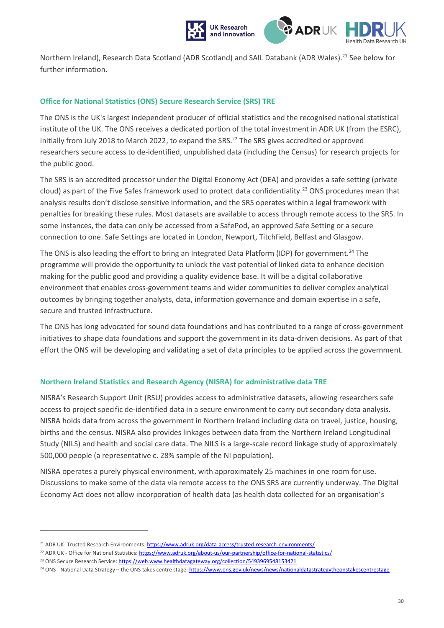

Northern Ireland), Research Data Scotland (ADR Scotland) and SAIL Databank (ADR Wales).<sup>21</sup> See below for further information.

#### <span id="page-29-0"></span>**Office for National Statistics (ONS) Secure Research Service (SRS) TRE**

The ONS is the UK's largest independent producer of official statistics and the recognised national statistical institute of the UK. The ONS receives a dedicated portion of the total investment in ADR UK (from the ESRC), initially from July 2018 to March 2022, to expand the SRS.<sup>22</sup> The SRS gives accredited or approved researchers secure access to de-identified, unpublished data (including the Census) for research projects for the public good.

The SRS is an accredited processor under the Digital Economy Act (DEA) and provides a safe setting (private cloud) as part of the Five Safes framework used to protect data confidentiality.<sup>23</sup> ONS procedures mean that analysis results don't disclose sensitive information, and the SRS operates within a legal framework with penalties for breaking these rules. Most datasets are available to access through remote access to the SRS. In some instances, the data can only be accessed from a SafePod, an approved Safe Setting or a secure connection to one. Safe Settings are located in London, Newport, Titchfield, Belfast and Glasgow.

The ONS is also leading the effort to bring an Integrated Data Platform (IDP) for government.<sup>24</sup> The programme will provide the opportunity to unlock the vast potential of linked data to enhance decision making for the public good and providing a quality evidence base. It will be a digital collaborative environment that enables cross-government teams and wider communities to deliver complex analytical outcomes by bringing together analysts, data, information governance and domain expertise in a safe, secure and trusted infrastructure.

The ONS has long advocated for sound data foundations and has contributed to a range of cross-government initiatives to shape data foundations and support the government in its data-driven decisions. As part of that effort the ONS will be developing and validating a set of data principles to be applied across the government.

#### <span id="page-29-1"></span>**Northern Ireland Statistics and Research Agency (NISRA) for administrative data TRE**

NISRA's Research Support Unit (RSU) provides access to administrative datasets, allowing researchers safe access to project specific de-identified data in a secure environment to carry out secondary data analysis. NISRA holds data from across the government in Northern Ireland including data on travel, justice, housing, births and the census. NISRA also provides linkages between data from the Northern Ireland Longitudinal Study (NILS) and health and social care data. The NILS is a large-scale record linkage study of approximately 500,000 people (a representative c. 28% sample of the NI population).

NISRA operates a purely physical environment, with approximately 25 machines in one room for use. Discussions to make some of the data via remote access to the ONS SRS are currently underway. The Digital Economy Act does not allow incorporation of health data (as health data collected for an organisation's

<sup>&</sup>lt;sup>21</sup> ADR UK- Trusted Research Environments[: https://www.adruk.org/data-access/trusted-research-environments/](https://www.adruk.org/data-access/trusted-research-environments/)

<sup>&</sup>lt;sup>22</sup> ADR UK - Office for National Statistics[: https://www.adruk.org/about-us/our-partnership/office-for-national-statistics/](https://www.adruk.org/about-us/our-partnership/office-for-national-statistics/)

<sup>23</sup> ONS Secure Research Service[: https://web.www.healthdatagateway.org/collection/5493969548153421](https://web.www.healthdatagateway.org/collection/5493969548153421)

<sup>&</sup>lt;sup>24</sup> ONS - National Data Strategy – the ONS takes centre stage[: https://www.ons.gov.uk/news/news/nationaldatastrategytheonstakescentrestage](https://www.ons.gov.uk/news/news/nationaldatastrategytheonstakescentrestage)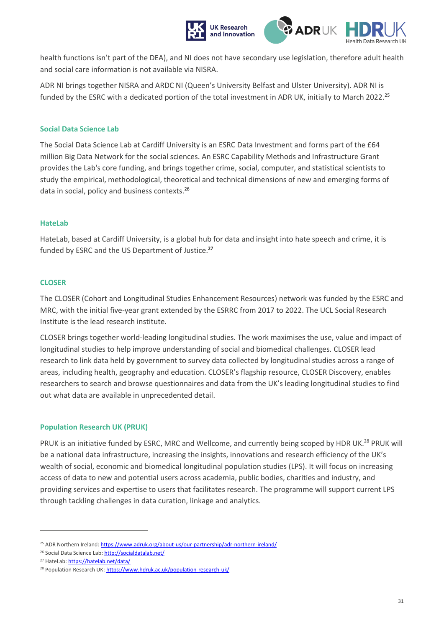

health functions isn't part of the DEA), and NI does not have secondary use legislation, therefore adult health and social care information is not available via NISRA.

ADR NI brings together NISRA and ARDC NI (Queen's University Belfast and Ulster University). ADR NI is funded by the ESRC with a dedicated portion of the total investment in ADR UK, initially to March 2022.<sup>25</sup>

#### <span id="page-30-0"></span>**Social Data Science Lab**

The Social Data Science Lab at Cardiff University is an ESRC Data Investment and forms part of the £64 million Big Data Network for the social sciences. An ESRC Capability Methods and Infrastructure Grant provides the Lab's core funding, and brings together crime, social, computer, and statistical scientists to study the empirical, methodological, theoretical and technical dimensions of new and emerging forms of data in social, policy and business contexts.<sup>26</sup>

#### <span id="page-30-1"></span>**HateLab**

HateLab, based at Cardiff University, is a global hub for data and insight into hate speech and crime, it is funded by ESRC and the US Department of Justice.**<sup>27</sup>**

#### <span id="page-30-2"></span>**CLOSER**

The CLOSER (Cohort and Longitudinal Studies Enhancement Resources) network was funded by the ESRC and MRC, with the initial five-year grant extended by the ESRRC from 2017 to 2022. The UCL Social Research Institute is the lead research institute.

CLOSER brings together world-leading longitudinal studies. The work maximises the use, value and impact of longitudinal studies to help improve understanding of social and biomedical challenges. CLOSER lead research to link data held by government to survey data collected by longitudinal studies across a range of areas, including health, geography and education. CLOSER's flagship resource, CLOSER Discovery, enables researchers to search and browse questionnaires and data from the UK's leading longitudinal studies to find out what data are available in unprecedented detail.

#### <span id="page-30-3"></span>**Population Research UK (PRUK)**

PRUK is an initiative funded by ESRC, MRC and Wellcome, and currently being scoped by HDR UK.<sup>28</sup> PRUK will be a national data infrastructure, increasing the insights, innovations and research efficiency of the UK's wealth of social, economic and biomedical longitudinal population studies (LPS). It will focus on increasing access of data to new and potential users across academia, public bodies, charities and industry, and providing services and expertise to users that facilitates research. The programme will support current LPS through tackling challenges in data curation, linkage and analytics.

<sup>&</sup>lt;sup>25</sup> ADR Northern Ireland[: https://www.adruk.org/about-us/our-partnership/adr-northern-ireland/](https://www.adruk.org/about-us/our-partnership/adr-northern-ireland/)

<sup>26</sup> Social Data Science Lab[: http://socialdatalab.net/](http://socialdatalab.net/)

<sup>27</sup> HateLab[: https://hatelab.net/data/](https://hatelab.net/data/)

<sup>28</sup> Population Research UK[: https://www.hdruk.ac.uk/population-research-uk/](https://www.hdruk.ac.uk/population-research-uk/)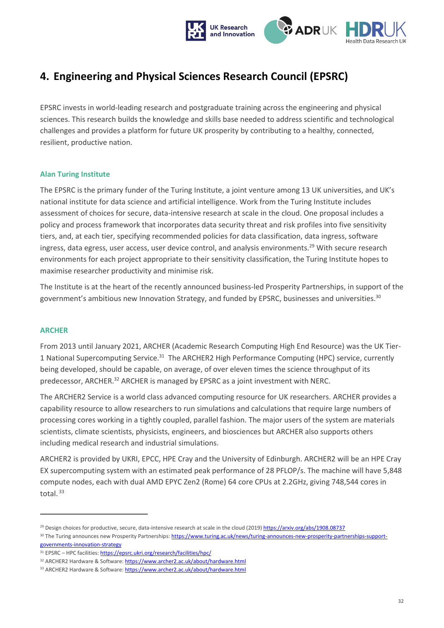

## <span id="page-31-0"></span>**4. Engineering and Physical Sciences Research Council (EPSRC)**

EPSRC invests in world-leading research and postgraduate training across the engineering and physical sciences. This research builds the knowledge and skills base needed to address scientific and technological challenges and provides a platform for future UK prosperity by contributing to a healthy, connected, resilient, productive nation.

#### <span id="page-31-1"></span>**Alan Turing Institute**

The EPSRC is the primary funder of the Turing Institute, a joint venture among 13 UK universities, and UK's national institute for data science and artificial intelligence. Work from the Turing Institute includes assessment of choices for secure, data-intensive research at scale in the cloud. One proposal includes a policy and process framework that incorporates data security threat and risk profiles into five sensitivity tiers, and, at each tier, specifying recommended policies for data classification, data ingress, software ingress, data egress, user access, user device control, and analysis environments.<sup>29</sup> With secure research environments for each project appropriate to their sensitivity classification, the Turing Institute hopes to maximise researcher productivity and minimise risk.

The Institute is at the heart of the recently announced business-led Prosperity Partnerships, in support of the government's ambitious new Innovation Strategy, and funded by EPSRC, businesses and universities.<sup>30</sup>

#### <span id="page-31-2"></span>**ARCHER**

From 2013 until January 2021, ARCHER (Academic Research Computing High End Resource) was the UK Tier-1 National Supercomputing Service.<sup>31</sup> The ARCHER2 High Performance Computing (HPC) service, currently being developed, should be capable, on average, of over eleven times the science throughput of its predecessor, ARCHER.<sup>32</sup> ARCHER is managed by EPSRC as a joint investment with NERC.

The ARCHER2 Service is a world class advanced computing resource for UK researchers. ARCHER provides a capability resource to allow researchers to run simulations and calculations that require large numbers of processing cores working in a tightly coupled, parallel fashion. The major users of the system are materials scientists, climate scientists, physicists, engineers, and biosciences but ARCHER also supports others including medical research and industrial simulations.

ARCHER2 is provided by UKRI, EPCC, HPE Cray and the University of Edinburgh. ARCHER2 will be an HPE Cray EX supercomputing system with an estimated peak performance of 28 PFLOP/s. The machine will have 5,848 compute nodes, each with dual AMD EPYC Zen2 (Rome) 64 core CPUs at 2.2GHz, giving 748,544 cores in total.<sup>33</sup>

<sup>&</sup>lt;sup>29</sup> Design choices for productive, secure, data-intensive research at scale in the cloud (2019[\) https://arxiv.org/abs/1908.08737](https://arxiv.org/abs/1908.08737)

<sup>&</sup>lt;sup>30</sup> The Turing announces new Prosperity Partnerships[: https://www.turing.ac.uk/news/turing-announces-new-prosperity-partnerships-support](https://www.turing.ac.uk/news/turing-announces-new-prosperity-partnerships-support-governments-innovation-strategy)[governments-innovation-strategy](https://www.turing.ac.uk/news/turing-announces-new-prosperity-partnerships-support-governments-innovation-strategy)

<sup>31</sup> EPSRC – HPC facilities[: https://epsrc.ukri.org/research/facilities/hpc/](https://epsrc.ukri.org/research/facilities/hpc/)

<sup>32</sup> ARCHER2 Hardware & Software[: https://www.archer2.ac.uk/about/hardware.html](https://www.archer2.ac.uk/about/hardware.html)

<sup>&</sup>lt;sup>33</sup> ARCHER2 Hardware & Software[: https://www.archer2.ac.uk/about/hardware.html](https://www.archer2.ac.uk/about/hardware.html)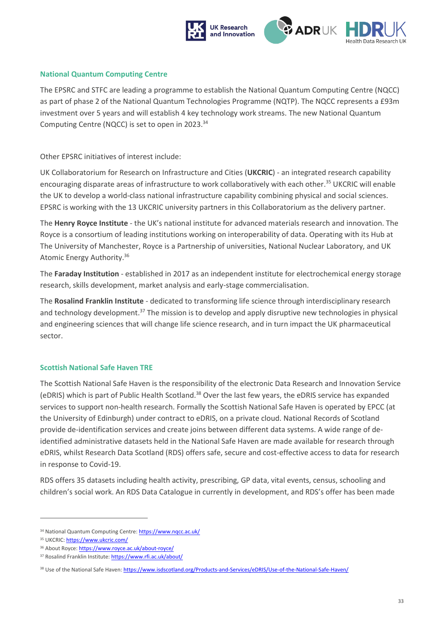

#### <span id="page-32-0"></span>**National Quantum Computing Centre**

The EPSRC and STFC are leading a programme to establish the National Quantum Computing Centre (NQCC) as part of phase 2 of the National Quantum Technologies Programme (NQTP). The NQCC represents a £93m investment over 5 years and will establish 4 key technology work streams. The new National Quantum Computing Centre (NQCC) is set to open in 2023.<sup>34</sup>

Other EPSRC initiatives of interest include:

UK Collaboratorium for Research on Infrastructure and Cities (**UKCRIC**) - an integrated research capability encouraging disparate areas of infrastructure to work collaboratively with each other. <sup>35</sup> UKCRIC will enable the UK to develop a world-class national infrastructure capability combining physical and social sciences. EPSRC is working with the 13 UKCRIC university partners in this Collaboratorium as the delivery partner.

The **Henry Royce Institute** - the UK's national institute for advanced materials research and innovation. The Royce is a consortium of leading institutions working on interoperability of data. Operating with its Hub at The University of Manchester, Royce is a Partnership of universities, National Nuclear Laboratory, and UK Atomic Energy Authority.<sup>36</sup>

The **Faraday Institution** - established in 2017 as an independent institute for electrochemical energy storage research, skills development, market analysis and early-stage commercialisation.

The **Rosalind Franklin Institute** - dedicated to transforming life science through interdisciplinary research and technology development.<sup>37</sup> The mission is to develop and apply disruptive new technologies in physical and engineering sciences that will change life science research, and in turn impact the UK pharmaceutical sector.

#### <span id="page-32-1"></span>**Scottish National Safe Haven TRE**

The Scottish National Safe Haven is the responsibility of the electronic Data Research and Innovation Service (eDRIS) which is part of Public Health Scotland.<sup>38</sup> Over the last few years, the eDRIS service has expanded services to support non-health research. Formally the Scottish National Safe Haven is operated by EPCC (at the University of Edinburgh) under contract to eDRIS, on a private cloud. National Records of Scotland provide de-identification services and create joins between different data systems. A wide range of deidentified administrative datasets held in the National Safe Haven are made available for research through eDRIS, whilst Research Data Scotland (RDS) offers safe, secure and cost-effective access to data for research in response to Covid-19.

RDS offers 35 datasets including health activity, prescribing, GP data, vital events, census, schooling and children's social work. An RDS Data Catalogue in currently in development, and RDS's offer has been made

<sup>34</sup> National Quantum Computing Centre[: https://www.nqcc.ac.uk/](https://www.nqcc.ac.uk/)

<sup>35</sup> UKCRIC[: https://www.ukcric.com/](https://www.ukcric.com/)

<sup>36</sup> About Royce[: https://www.royce.ac.uk/about-royce/](https://www.royce.ac.uk/about-royce/)

<sup>37</sup> Rosalind Franklin Institute[: https://www.rfi.ac.uk/about/](https://www.rfi.ac.uk/about/)

<sup>38</sup> Use of the National Safe Haven[: https://www.isdscotland.org/Products-and-Services/eDRIS/Use-of-the-National-Safe-Haven/](https://www.isdscotland.org/Products-and-Services/eDRIS/Use-of-the-National-Safe-Haven/)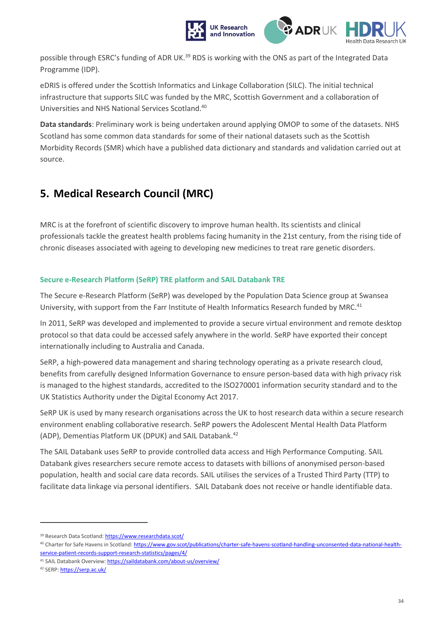

possible through ESRC's funding of ADR UK.<sup>39</sup> RDS is working with the ONS as part of the Integrated Data Programme (IDP).

eDRIS is offered under the Scottish Informatics and Linkage Collaboration (SILC). The initial technical infrastructure that supports SILC was funded by the MRC, Scottish Government and a collaboration of Universities and NHS National Services Scotland.<sup>40</sup>

**Data standards**: Preliminary work is being undertaken around applying OMOP to some of the datasets. NHS Scotland has some common data standards for some of their national datasets such as the Scottish Morbidity Records (SMR) which have a published data dictionary and standards and validation carried out at source.

## <span id="page-33-0"></span>**5. Medical Research Council (MRC)**

MRC is at the forefront of scientific discovery to improve human health. Its scientists and clinical professionals tackle the greatest health problems facing humanity in the 21st century, from the rising tide of chronic diseases associated with ageing to developing new medicines to treat rare genetic disorders.

#### <span id="page-33-1"></span>**Secure e-Research Platform (SeRP) TRE platform and SAIL Databank TRE**

The Secure e-Research Platform (SeRP) was developed by the Population Data Science group at Swansea University, with support from the Farr Institute of Health Informatics Research funded by MRC.<sup>41</sup>

In 2011, SeRP was developed and implemented to provide a secure virtual environment and remote desktop protocol so that data could be accessed safely anywhere in the world. SeRP have exported their concept internationally including to Australia and Canada.

SeRP, a high-powered data management and sharing technology operating as a private research cloud, benefits from carefully designed Information Governance to ensure person-based data with high privacy risk is managed to the highest standards, accredited to the ISO270001 information security standard and to the UK Statistics Authority under the Digital Economy Act 2017.

SeRP UK is used by many research organisations across the UK to host research data within a secure research environment enabling collaborative research. SeRP powers the Adolescent Mental Health Data Platform (ADP), Dementias Platform UK (DPUK) and SAIL Databank. 42

The SAIL Databank uses SeRP to provide controlled data access and High Performance Computing. SAIL Databank gives researchers secure remote access to datasets with billions of anonymised person-based population, health and social care data records. SAIL utilises the services of a Trusted Third Party (TTP) to facilitate data linkage via personal identifiers. SAIL Databank does not receive or handle identifiable data.

<sup>39</sup> Research Data Scotland[: https://www.researchdata.scot/](https://www.researchdata.scot/)

<sup>40</sup> Charter for Safe Havens in Scotland[: https://www.gov.scot/publications/charter-safe-havens-scotland-handling-unconsented-data-national-health](https://www.gov.scot/publications/charter-safe-havens-scotland-handling-unconsented-data-national-health-service-patient-records-support-research-statistics/pages/4/)[service-patient-records-support-research-statistics/pages/4/](https://www.gov.scot/publications/charter-safe-havens-scotland-handling-unconsented-data-national-health-service-patient-records-support-research-statistics/pages/4/)

<sup>41</sup> SAIL Databank Overview[: https://saildatabank.com/about-us/overview/](https://saildatabank.com/about-us/overview/)

<sup>42</sup> SERP[: https://serp.ac.uk/](https://serp.ac.uk/)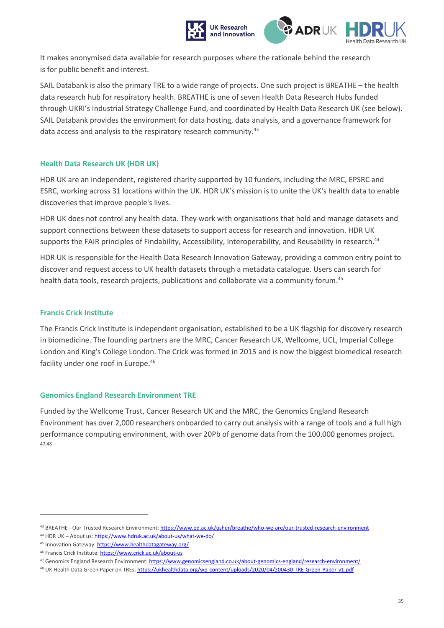

It makes anonymised data available for research purposes where the rationale behind the research is for public benefit and interest.

SAIL Databank is also the primary TRE to a wide range of projects. One such project is BREATHE – the health data research hub for respiratory health. BREATHE is one of seven Health Data Research Hubs funded through UKRI's Industrial Strategy Challenge Fund, and coordinated by Health Data Research UK (see below). SAIL Databank provides the environment for data hosting, data analysis, and a governance framework for data access and analysis to the respiratory research community.<sup>43</sup>

#### <span id="page-34-0"></span>**Health Data Research UK (HDR UK)**

HDR UK are an independent, registered charity supported by 10 funders, including the MRC, EPSRC and ESRC, working across 31 locations within the UK. HDR UK's mission is to unite the UK's health data to enable discoveries that improve people's lives.

HDR UK does not control any health data. They work with organisations that hold and manage datasets and support connections between these datasets to support access for research and innovation. HDR UK supports the FAIR principles of Findability, Accessibility, Interoperability, and Reusability in research.<sup>44</sup>

HDR UK is responsible for the Health Data Research Innovation Gateway, providing a common entry point to discover and request access to UK health datasets through a metadata catalogue. Users can search for health data tools, research projects, publications and collaborate via a community forum.<sup>45</sup>

#### <span id="page-34-1"></span>**Francis Crick Institute**

The Francis Crick Institute is independent organisation, established to be a UK flagship for discovery research in biomedicine. The founding partners are the MRC, Cancer Research UK, Wellcome, UCL, Imperial College London and King's College London. The Crick was formed in 2015 and is now the biggest biomedical research facility under one roof in Europe.<sup>46</sup>

#### <span id="page-34-2"></span>**Genomics England Research Environment TRE**

Funded by the Wellcome Trust, Cancer Research UK and the MRC, the Genomics England Research Environment has over 2,000 researchers onboarded to carry out analysis with a range of tools and a full high performance computing environment, with over 20Pb of genome data from the 100,000 genomes project. 47,48

<sup>43</sup> BREATHE - Our Trusted Research Environment[: https://www.ed.ac.uk/usher/breathe/who-we-are/our-trusted-research-environment](https://www.ed.ac.uk/usher/breathe/who-we-are/our-trusted-research-environment)

<sup>44</sup> HDR UK – About us[: https://www.hdruk.ac.uk/about-us/what-we-do/](https://www.hdruk.ac.uk/about-us/what-we-do/)

<sup>&</sup>lt;sup>45</sup> Innovation Gateway[: https://www.healthdatagateway.org/](https://www.healthdatagateway.org/)

<sup>46</sup> Francis Crick Institute[: https://www.crick.ac.uk/about-us](https://www.crick.ac.uk/about-us)

<sup>47</sup> Genomics England Research Environment[: https://www.genomicsengland.co.uk/about-genomics-england/research-environment/](https://www.genomicsengland.co.uk/about-genomics-england/research-environment/)

<sup>48</sup> UK Health Data Green Paper on TREs[: https://ukhealthdata.org/wp-content/uploads/2020/04/200430-TRE-Green-Paper-v1.pdf](https://ukhealthdata.org/wp-content/uploads/2020/04/200430-TRE-Green-Paper-v1.pdf)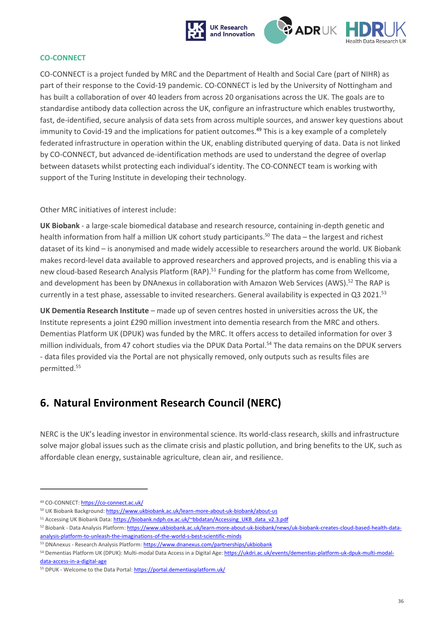

#### <span id="page-35-0"></span>**CO-CONNECT**

CO-CONNECT is a project funded by MRC and the Department of Health and Social Care (part of NIHR) as part of their response to the Covid-19 pandemic. CO-CONNECT is led by the University of Nottingham and has built a collaboration of over 40 leaders from across 20 organisations across the UK. The goals are to standardise antibody data collection across the UK, configure an infrastructure which enables trustworthy, fast, de-identified, secure analysis of data sets from across multiple sources, and answer key questions about immunity to Covid-19 and the implications for patient outcomes.<sup>49</sup> This is a key example of a completely federated infrastructure in operation within the UK, enabling distributed querying of data. Data is not linked by CO-CONNECT, but advanced de-identification methods are used to understand the degree of overlap between datasets whilst protecting each individual's identity. The CO-CONNECT team is working with support of the Turing Institute in developing their technology.

Other MRC initiatives of interest include:

**UK Biobank** - a large-scale biomedical database and research resource, containing in-depth genetic and health information from half a million UK cohort study participants.<sup>50</sup> The data – the largest and richest dataset of its kind – is anonymised and made widely accessible to researchers around the world. UK Biobank makes record-level data available to approved researchers and approved projects, and is enabling this via a new cloud-based Research Analysis Platform (RAP).<sup>51</sup> Funding for the platform has come from Wellcome, and development has been by DNAnexus in collaboration with Amazon Web Services (AWS).<sup>52</sup> The RAP is currently in a test phase, assessable to invited researchers. General availability is expected in Q3 2021.<sup>53</sup>

**UK Dementia Research Institute** – made up of seven centres hosted in universities across the UK, the Institute represents a joint £290 million investment into dementia research from the MRC and others. Dementias Platform UK (DPUK) was funded by the MRC. It offers access to detailed information for over 3 million individuals, from 47 cohort studies via the DPUK Data Portal. <sup>54</sup> The data remains on the DPUK servers - data files provided via the Portal are not physically removed, only outputs such as results files are permitted.<sup>55</sup>

## <span id="page-35-1"></span>**6. Natural Environment Research Council (NERC)**

NERC is the UK's leading investor in environmental science. Its world-class research, skills and infrastructure solve major global issues such as the climate crisis and plastic pollution, and bring benefits to the UK, such as affordable clean energy, sustainable agriculture, clean air, and resilience.

<sup>49</sup> CO-CONNECT[: https://co-connect.ac.uk/](https://co-connect.ac.uk/) 

<sup>50</sup> UK Biobank Background[: https://www.ukbiobank.ac.uk/learn-more-about-uk-biobank/about-us](https://www.ukbiobank.ac.uk/learn-more-about-uk-biobank/about-us)

<sup>51</sup> Accessing UK Biobank Data[: https://biobank.ndph.ox.ac.uk/~bbdatan/Accessing\\_UKB\\_data\\_v2.3.pdf](https://biobank.ndph.ox.ac.uk/~bbdatan/Accessing_UKB_data_v2.3.pdf)

<sup>52</sup> Biobank - Data Analysis Platform[: https://www.ukbiobank.ac.uk/learn-more-about-uk-biobank/news/uk-biobank-creates-cloud-based-health-data](https://www.ukbiobank.ac.uk/learn-more-about-uk-biobank/news/uk-biobank-creates-cloud-based-health-data-analysis-platform-to-unleash-the-imaginations-of-the-world-s-best-scientific-minds)[analysis-platform-to-unleash-the-imaginations-of-the-world-s-best-scientific-minds](https://www.ukbiobank.ac.uk/learn-more-about-uk-biobank/news/uk-biobank-creates-cloud-based-health-data-analysis-platform-to-unleash-the-imaginations-of-the-world-s-best-scientific-minds)

<sup>53</sup> DNAnexus - Research Analysis Platform[: https://www.dnanexus.com/partnerships/ukbiobank](https://www.dnanexus.com/partnerships/ukbiobank)

<sup>54</sup> Dementias Platform UK (DPUK): Multi-modal Data Access in a Digital Age[: https://ukdri.ac.uk/events/dementias-platform-uk-dpuk-multi-modal](https://ukdri.ac.uk/events/dementias-platform-uk-dpuk-multi-modal-data-access-in-a-digital-age)[data-access-in-a-digital-age](https://ukdri.ac.uk/events/dementias-platform-uk-dpuk-multi-modal-data-access-in-a-digital-age)

<sup>55</sup> DPUK - Welcome to the Data Portal[: https://portal.dementiasplatform.uk/](https://portal.dementiasplatform.uk/)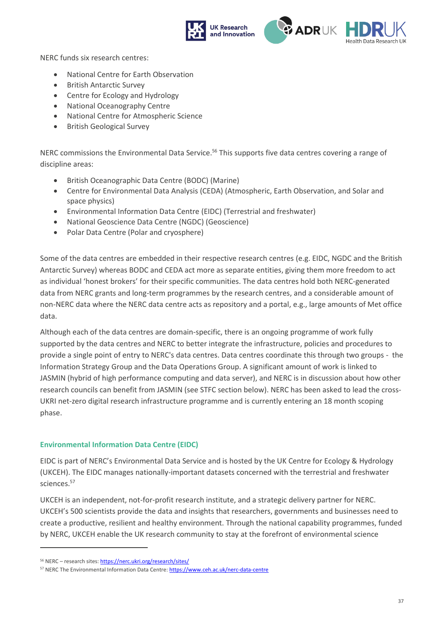



NERC funds six research centres:

- National Centre for Earth Observation
- British Antarctic Survey
- Centre for Ecology and Hydrology
- National Oceanography Centre
- National Centre for Atmospheric Science
- British Geological Survey

NERC commissions the Environmental Data Service.<sup>56</sup> This supports five data centres covering a range of discipline areas:

- British Oceanographic Data Centre (BODC) (Marine)
- Centre for Environmental Data Analysis (CEDA) (Atmospheric, Earth Observation, and Solar and space physics)
- Environmental Information Data Centre (EIDC) (Terrestrial and freshwater)
- National Geoscience Data Centre (NGDC) (Geoscience)
- Polar Data Centre (Polar and cryosphere)

Some of the data centres are embedded in their respective research centres (e.g. EIDC, NGDC and the British Antarctic Survey) whereas BODC and CEDA act more as separate entities, giving them more freedom to act as individual 'honest brokers' for their specific communities. The data centres hold both NERC-generated data from NERC grants and long-term programmes by the research centres, and a considerable amount of non-NERC data where the NERC data centre acts as repository and a portal, e.g., large amounts of Met office data.

Although each of the data centres are domain-specific, there is an ongoing programme of work fully supported by the data centres and NERC to better integrate the infrastructure, policies and procedures to provide a single point of entry to NERC's data centres. Data centres coordinate this through two groups - the Information Strategy Group and the Data Operations Group. A significant amount of work is linked to JASMIN (hybrid of high performance computing and data server), and NERC is in discussion about how other research councils can benefit from JASMIN (see STFC section below). NERC has been asked to lead the cross-UKRI net-zero digital research infrastructure programme and is currently entering an 18 month scoping phase.

#### <span id="page-36-0"></span>**Environmental Information Data Centre (EIDC)**

EIDC is part of NERC's Environmental Data Service and is hosted by the UK Centre for Ecology & Hydrology (UKCEH). The EIDC manages nationally-important datasets concerned with the terrestrial and freshwater sciences.<sup>57</sup>

UKCEH is an independent, not-for-profit research institute, and a strategic delivery partner for NERC. UKCEH's 500 scientists provide the data and insights that researchers, governments and businesses need to create a productive, resilient and healthy environment. Through the national capability programmes, funded by NERC, UKCEH enable the UK research community to stay at the forefront of environmental science

<sup>56</sup> NERC – research sites[: https://nerc.ukri.org/research/sites/](https://nerc.ukri.org/research/sites/)

<sup>57</sup> NERC The Environmental Information Data Centre[: https://www.ceh.ac.uk/nerc-data-centre](https://www.ceh.ac.uk/nerc-data-centre)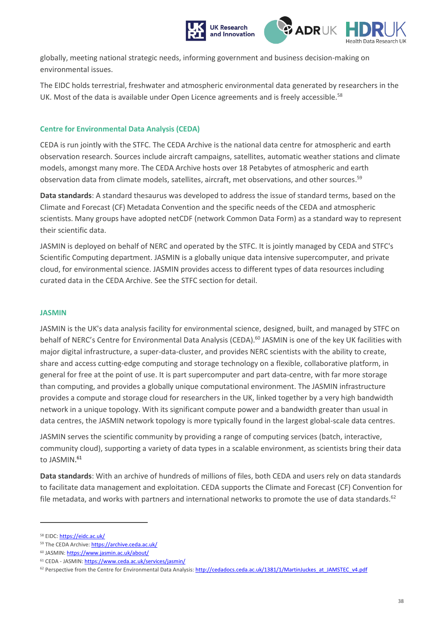

globally, meeting national strategic needs, informing government and business decision-making on environmental issues.

The EIDC holds terrestrial, freshwater and atmospheric environmental data generated by researchers in the UK. Most of the data is available under Open Licence agreements and is freely accessible.<sup>58</sup>

#### <span id="page-37-0"></span>**Centre for Environmental Data Analysis (CEDA)**

CEDA is run jointly with the STFC. The CEDA Archive is the national data centre for atmospheric and earth observation research. Sources include aircraft campaigns, satellites, automatic weather stations and climate models, amongst many more. The CEDA Archive hosts over 18 Petabytes of atmospheric and earth observation data from climate models, satellites, aircraft, met observations, and other sources.<sup>59</sup>

**Data standards**: A standard thesaurus was developed to address the issue of standard terms, based on the Climate and Forecast (CF) Metadata Convention and the specific needs of the CEDA and atmospheric scientists. Many groups have adopted netCDF (network Common Data Form) as a standard way to represent their scientific data.

JASMIN is deployed on behalf of NERC and operated by the STFC. It is jointly managed by CEDA and STFC's Scientific Computing department. JASMIN is a globally unique data intensive supercomputer, and private cloud, for environmental science. JASMIN provides access to different types of data resources including curated data in the CEDA Archive. See the STFC section for detail.

#### <span id="page-37-1"></span>**JASMIN**

JASMIN is the UK's data analysis facility for environmental science, designed, built, and managed by STFC on behalf of NERC's Centre for Environmental Data Analysis (CEDA). <sup>60</sup> JASMIN is one of the key UK facilities with major digital infrastructure, a super-data-cluster, and provides NERC scientists with the ability to create, share and access cutting-edge computing and storage technology on a flexible, collaborative platform, in general for free at the point of use. It is part supercomputer and part data-centre, with far more storage than computing, and provides a globally unique computational environment. The JASMIN infrastructure provides a compute and storage cloud for researchers in the UK, linked together by a very high bandwidth network in a unique topology. With its significant compute power and a bandwidth greater than usual in data centres, the JASMIN network topology is more typically found in the largest global-scale data centres.

JASMIN serves the scientific community by providing a range of computing services (batch, interactive, community cloud), supporting a variety of data types in a scalable environment, as scientists bring their data to JASMIN.<sup>61</sup>

**Data standards**: With an archive of hundreds of millions of files, both CEDA and users rely on data standards to facilitate data management and exploitation. CEDA supports the Climate and Forecast (CF) Convention for file metadata, and works with partners and international networks to promote the use of data standards. $62$ 

<sup>58</sup> EIDC[: https://eidc.ac.uk/](https://eidc.ac.uk/)

<sup>59</sup> The CEDA Archive[: https://archive.ceda.ac.uk/](https://archive.ceda.ac.uk/)

<sup>60</sup> JASMIN[: https://www.jasmin.ac.uk/about/](https://www.jasmin.ac.uk/about/)

<sup>61</sup> CEDA - JASMIN[: https://www.ceda.ac.uk/services/jasmin/](https://www.ceda.ac.uk/services/jasmin/)

 $62$  Perspective from the Centre for Environmental Data Analysis[: http://cedadocs.ceda.ac.uk/1381/1/MartinJuckes\\_at\\_JAMSTEC\\_v4.pdf](http://cedadocs.ceda.ac.uk/1381/1/MartinJuckes_at_JAMSTEC_v4.pdf)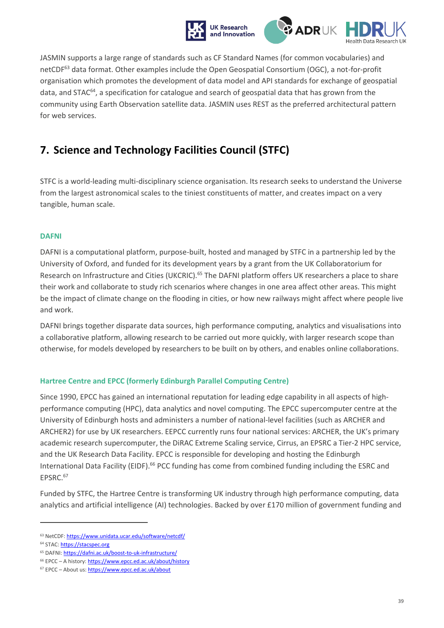

JASMIN supports a large range of standards such as CF Standard Names (for common vocabularies) and netCDF<sup>63</sup> data format. Other examples include the Open Geospatial Consortium (OGC), a not-for-profit organisation which promotes the development of data model and API standards for exchange of geospatial data, and STAC<sup>64</sup>, a specification for catalogue and search of geospatial data that has grown from the community using Earth Observation satellite data. JASMIN uses REST as the preferred architectural pattern for web services.

## <span id="page-38-0"></span>**7. Science and Technology Facilities Council (STFC)**

STFC is a world-leading multi-disciplinary science organisation. Its research seeks to understand the Universe from the largest astronomical scales to the tiniest constituents of matter, and creates impact on a very tangible, human scale.

#### <span id="page-38-1"></span>**DAFNI**

DAFNI is a computational platform, purpose-built, hosted and managed by STFC in a partnership led by the University of Oxford, and funded for its development years by a grant from the UK Collaboratorium for Research on Infrastructure and Cities (UKCRIC).<sup>65</sup> The DAFNI platform offers UK researchers a place to share their work and collaborate to study rich scenarios where changes in one area affect other areas. This might be the impact of climate change on the flooding in cities, or how new railways might affect where people live and work.

DAFNI brings together disparate data sources, high performance computing, analytics and visualisations into a collaborative platform, allowing research to be carried out more quickly, with larger research scope than otherwise, for models developed by researchers to be built on by others, and enables online collaborations.

#### <span id="page-38-2"></span>**Hartree Centre and EPCC (formerly Edinburgh Parallel Computing Centre)**

Since 1990, EPCC has gained an international reputation for leading edge capability in all aspects of highperformance computing (HPC), data analytics and novel computing. The EPCC supercomputer centre at the University of Edinburgh hosts and administers a number of national-level facilities (such as ARCHER and ARCHER2) for use by UK researchers. EEPCC currently runs four national services: ARCHER, the UK's primary academic research supercomputer, the DiRAC Extreme Scaling service, Cirrus, an EPSRC a Tier-2 HPC service, and the UK Research Data Facility. EPCC is responsible for developing and hosting the Edinburgh International Data Facility (EIDF).<sup>66</sup> PCC funding has come from combined funding including the ESRC and EPSRC.<sup>67</sup>

Funded by STFC, the Hartree Centre is transforming UK industry through high performance computing, data analytics and artificial intelligence (AI) technologies. Backed by over £170 million of government funding and

<sup>63</sup> NetCDF[: https://www.unidata.ucar.edu/software/netcdf/](https://www.unidata.ucar.edu/software/netcdf/)

<sup>64</sup> STAC[: https://stacspec.org](https://stacspec.org/)

<sup>65</sup> DAFNI[: https://dafni.ac.uk/boost-to-uk-infrastructure/](https://dafni.ac.uk/boost-to-uk-infrastructure/)

<sup>66</sup> EPCC – A history:<https://www.epcc.ed.ac.uk/about/history>

<sup>67</sup> EPCC – About us[: https://www.epcc.ed.ac.uk/about](https://www.epcc.ed.ac.uk/about)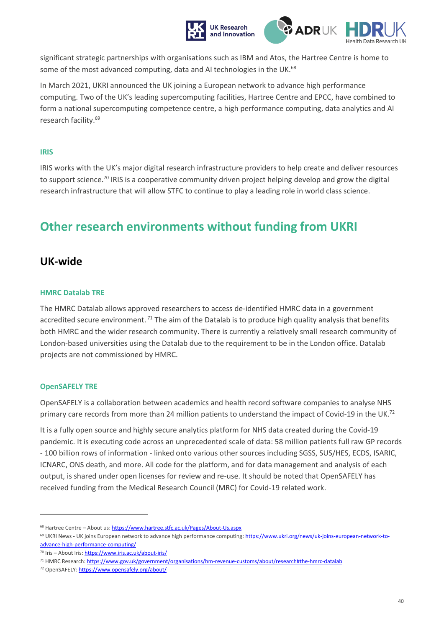

significant strategic partnerships with organisations such as IBM and Atos, the Hartree Centre is home to some of the most advanced computing, data and AI technologies in the UK.<sup>68</sup>

In March 2021, UKRI announced the UK joining a European network to advance high performance computing. Two of the UK's leading supercomputing facilities, Hartree Centre and EPCC, have combined to form a national supercomputing competence centre, a high performance computing, data analytics and AI research facility.<sup>69</sup>

#### <span id="page-39-0"></span>**IRIS**

IRIS works with the UK's major digital research infrastructure providers to help create and deliver resources to support science.<sup>70</sup> IRIS is a cooperative community driven project helping develop and grow the digital research infrastructure that will allow STFC to continue to play a leading role in world class science.

## <span id="page-39-1"></span>**Other research environments without funding from UKRI**

### <span id="page-39-2"></span>**UK-wide**

#### <span id="page-39-3"></span>**HMRC Datalab TRE**

The HMRC Datalab allows approved researchers to access de-identified HMRC data in a government accredited secure environment.<sup>71</sup> The aim of the Datalab is to produce high quality analysis that benefits both HMRC and the wider research community. There is currently a relatively small research community of London-based universities using the Datalab due to the requirement to be in the London office. Datalab projects are not commissioned by HMRC.

#### <span id="page-39-4"></span>**OpenSAFELY TRE**

OpenSAFELY is a collaboration between academics and health record software companies to analyse NHS primary care records from more than 24 million patients to understand the impact of Covid-19 in the UK.<sup>72</sup>

It is a fully open source and highly secure analytics platform for NHS data created during the Covid-19 pandemic. It is executing code across an unprecedented scale of data: 58 million patients full raw GP records - 100 billion rows of information - linked onto various other sources including SGSS, SUS/HES, ECDS, ISARIC, ICNARC, ONS death, and more. All code for the platform, and for data management and analysis of each output, is shared under open licenses for review and re-use. It should be noted that OpenSAFELY has received funding from the Medical Research Council (MRC) for Covid-19 related work.

<sup>68</sup> Hartree Centre – About us[: https://www.hartree.stfc.ac.uk/Pages/About-Us.aspx](https://www.hartree.stfc.ac.uk/Pages/About-Us.aspx)

<sup>&</sup>lt;sup>69</sup> UKRI News - UK joins European network to advance high performance computing[: https://www.ukri.org/news/uk-joins-european-network-to](https://www.ukri.org/news/uk-joins-european-network-to-advance-high-performance-computing/)[advance-high-performance-computing/](https://www.ukri.org/news/uk-joins-european-network-to-advance-high-performance-computing/)

<sup>70</sup> Iris – About Iris[: https://www.iris.ac.uk/about-iris/](https://www.iris.ac.uk/about-iris/)

<sup>71</sup> HMRC Research[: https://www.gov.uk/government/organisations/hm-revenue-customs/about/research#the-hmrc-datalab](https://www.gov.uk/government/organisations/hm-revenue-customs/about/research#the-hmrc-datalab)

<sup>72</sup> OpenSAFELY[: https://www.opensafely.org/about/](https://www.opensafely.org/about/)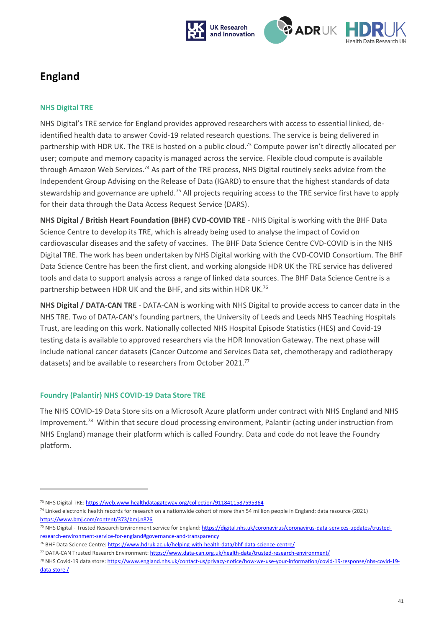



## <span id="page-40-0"></span>**England**

#### <span id="page-40-1"></span>**NHS Digital TRE**

NHS Digital's TRE service for England provides approved researchers with access to essential linked, deidentified health data to answer Covid-19 related research questions. The service is being delivered in partnership with HDR UK. The TRE is hosted on a public cloud.<sup>73</sup> Compute power isn't directly allocated per user; compute and memory capacity is managed across the service. Flexible cloud compute is available through Amazon Web Services.<sup>74</sup> As part of the TRE process, NHS Digital routinely seeks advice from the Independent Group Advising on the Release of Data (IGARD) to ensure that the highest standards of data stewardship and governance are upheld.<sup>75</sup> All projects requiring access to the TRE service first have to apply for their data through the Data Access Request Service (DARS).

**NHS Digital / British Heart Foundation (BHF) CVD-COVID TRE** - NHS Digital is working with the BHF Data Science Centre to develop its TRE, which is already being used to analyse the impact of Covid on cardiovascular diseases and the safety of vaccines. The BHF Data Science Centre CVD-COVID is in the NHS Digital TRE. The work has been undertaken by NHS Digital working with the CVD-COVID Consortium. The BHF Data Science Centre has been the first client, and working alongside HDR UK the TRE service has delivered tools and data to support analysis across a range of linked data sources. The BHF Data Science Centre is a partnership between HDR UK and the BHF, and sits within HDR UK.<sup>76</sup>

**NHS Digital / DATA-CAN TRE** - DATA-CAN is working with NHS Digital to provide access to cancer data in the NHS TRE. Two of DATA-CAN's founding partners, the University of Leeds and Leeds NHS Teaching Hospitals Trust, are leading on this work. Nationally collected NHS Hospital Episode Statistics (HES) and Covid-19 testing data is available to approved researchers via the HDR Innovation Gateway. The next phase will include national cancer datasets (Cancer Outcome and Services Data set, chemotherapy and radiotherapy datasets) and be available to researchers from October 2021.<sup>77</sup>

#### <span id="page-40-2"></span>**Foundry (Palantir) NHS COVID-19 Data Store TRE**

The NHS COVID-19 Data Store sits on a Microsoft Azure platform under contract with NHS England and NHS Improvement.<sup>78</sup> Within that secure cloud processing environment, Palantir (acting under instruction from NHS England) manage their platform which is called Foundry. Data and code do not leave the Foundry platform.

<sup>73</sup> NHS Digital TRE[: https://web.www.healthdatagateway.org/collection/9118411587595364](https://web.www.healthdatagateway.org/collection/9118411587595364)

<sup>74</sup> Linked electronic health records for research on a nationwide cohort of more than 54 million people in England: data resource (2021) <https://www.bmj.com/content/373/bmj.n826>

<sup>75</sup> NHS Digital - Trusted Research Environment service for England: [https://digital.nhs.uk/coronavirus/coronavirus-data-services-updates/trusted](https://digital.nhs.uk/coronavirus/coronavirus-data-services-updates/trusted-research-environment-service-for-england#governance-and-transparency)[research-environment-service-for-england#governance-and-transparency](https://digital.nhs.uk/coronavirus/coronavirus-data-services-updates/trusted-research-environment-service-for-england#governance-and-transparency)

<sup>76</sup> BHF Data Science Centre[: https://www.hdruk.ac.uk/helping-with-health-data/bhf-data-science-centre/](https://www.hdruk.ac.uk/helping-with-health-data/bhf-data-science-centre/)

<sup>77</sup> DATA-CAN Trusted Research Environment[: https://www.data-can.org.uk/health-data/trusted-research-environment/](https://www.data-can.org.uk/health-data/trusted-research-environment/)

<sup>78</sup> NHS Covid-19 data store[: https://www.england.nhs.uk/contact-us/privacy-notice/how-we-use-your-information/covid-19-response/nhs-covid-19](https://www.england.nhs.uk/contact-us/privacy-notice/how-we-use-your-information/covid-19-response/nhs-covid-19-data-store%20/) [data-store /](https://www.england.nhs.uk/contact-us/privacy-notice/how-we-use-your-information/covid-19-response/nhs-covid-19-data-store%20/)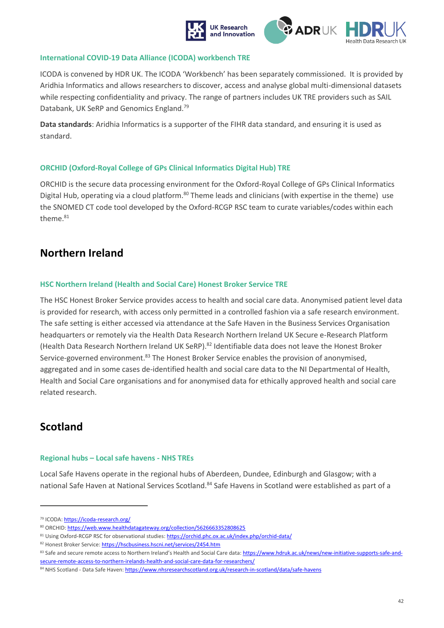

#### <span id="page-41-0"></span>**International COVID-19 Data Alliance (ICODA) workbench TRE**

ICODA is convened by HDR UK. The ICODA 'Workbench' has been separately commissioned.  It is provided by Aridhia Informatics and allows researchers to discover, access and analyse global multi-dimensional datasets while respecting confidentiality and privacy. The range of partners includes UK TRE providers such as SAIL Databank, UK SeRP and Genomics England.<sup>79</sup>

**Data standards**: Aridhia Informatics is a supporter of the FIHR data standard, and ensuring it is used as standard.

#### <span id="page-41-1"></span>**ORCHID (Oxford-Royal College of GPs Clinical Informatics Digital Hub) TRE**

ORCHID is the secure data processing environment for the Oxford-Royal College of GPs Clinical Informatics Digital Hub, operating via a cloud platform.<sup>80</sup> Theme leads and clinicians (with expertise in the theme) use the SNOMED CT code tool developed by the Oxford-RCGP RSC team to curate variables/codes within each theme.<sup>81</sup>

### <span id="page-41-2"></span>**Northern Ireland**

#### <span id="page-41-3"></span>**HSC Northern Ireland (Health and Social Care) Honest Broker Service TRE**

The HSC Honest Broker Service provides access to health and social care data. Anonymised patient level data is provided for research, with access only permitted in a controlled fashion via a safe research environment. The safe setting is either accessed via attendance at the Safe Haven in the Business Services Organisation headquarters or remotely via the Health Data Research Northern Ireland UK Secure e-Research Platform (Health Data Research Northern Ireland UK SeRP).<sup>82</sup> Identifiable data does not leave the Honest Broker Service-governed environment.<sup>83</sup> The Honest Broker Service enables the provision of anonymised, aggregated and in some cases de-identified health and social care data to the NI Departmental of Health, Health and Social Care organisations and for anonymised data for ethically approved health and social care related research.

### <span id="page-41-4"></span>**Scotland**

#### <span id="page-41-5"></span>**Regional hubs – Local safe havens - NHS TREs**

Local Safe Havens operate in the regional hubs of Aberdeen, Dundee, Edinburgh and Glasgow; with a national Safe Haven at National Services Scotland.<sup>84</sup> Safe Havens in Scotland were established as part of a

<sup>79</sup> ICODA[: https://icoda-research.org/](https://icoda-research.org/)

<sup>80</sup> ORCHID[: https://web.www.healthdatagateway.org/collection/5626663352808625](https://web.www.healthdatagateway.org/collection/5626663352808625)

<sup>81</sup> Using Oxford-RCGP RSC for observational studies[: https://orchid.phc.ox.ac.uk/index.php/orchid-data/](https://orchid.phc.ox.ac.uk/index.php/orchid-data/)

<sup>82</sup> Honest Broker Service[: https://hscbusiness.hscni.net/services/2454.htm](https://hscbusiness.hscni.net/services/2454.htm)

<sup>83</sup> Safe and secure remote access to Northern Ireland's Health and Social Care data: [https://www.hdruk.ac.uk/news/new-initiative-supports-safe-and](https://www.hdruk.ac.uk/news/new-initiative-supports-safe-and-secure-remote-access-to-northern-irelands-health-and-social-care-data-for-researchers/)[secure-remote-access-to-northern-irelands-health-and-social-care-data-for-researchers/](https://www.hdruk.ac.uk/news/new-initiative-supports-safe-and-secure-remote-access-to-northern-irelands-health-and-social-care-data-for-researchers/)

<sup>84</sup> NHS Scotland - Data Safe Haven[: https://www.nhsresearchscotland.org.uk/research-in-scotland/data/safe-havens](https://www.nhsresearchscotland.org.uk/research-in-scotland/data/safe-havens)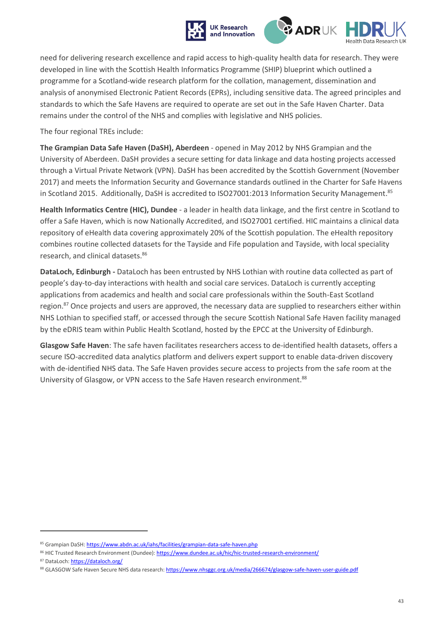



need for delivering research excellence and rapid access to high-quality health data for research. They were developed in line with the Scottish Health Informatics Programme (SHIP) blueprint which outlined a programme for a Scotland-wide research platform for the collation, management, dissemination and analysis of anonymised Electronic Patient Records (EPRs), including sensitive data. The agreed principles and standards to which the Safe Havens are required to operate are set out in the Safe Haven Charter. Data remains under the control of the NHS and complies with legislative and NHS policies.

The four regional TREs include:

**The Grampian Data Safe Haven (DaSH), Aberdeen** - opened in May 2012 by NHS Grampian and the University of Aberdeen. DaSH provides a secure setting for data linkage and data hosting projects accessed through a Virtual Private Network (VPN). DaSH has been accredited by the Scottish Government (November 2017) and meets the Information Security and Governance standards outlined in the Charter for Safe Havens in Scotland 2015. Additionally, DaSH is accredited to ISO27001:2013 Information Security Management.<sup>85</sup>

**Health Informatics Centre (HIC), Dundee** - a leader in health data linkage, and the first centre in Scotland to offer a Safe Haven, which is now Nationally Accredited, and ISO27001 certified. HIC maintains a clinical data repository of eHealth data covering approximately 20% of the Scottish population. The eHealth repository combines routine collected datasets for the Tayside and Fife population and Tayside, with local speciality research, and clinical datasets.<sup>86</sup>

**DataLoch, Edinburgh -** DataLoch has been entrusted by NHS Lothian with routine data collected as part of people's day-to-day interactions with health and social care services. DataLoch is currently accepting applications from academics and health and social care professionals within the South-East Scotland region.<sup>87</sup> Once projects and users are approved, the necessary data are supplied to researchers either within NHS Lothian to specified staff, or accessed through the secure Scottish National Safe Haven facility managed by the eDRIS team within Public Health Scotland, hosted by the EPCC at the University of Edinburgh.

**Glasgow Safe Haven**: The safe haven facilitates researchers access to de-identified health datasets, offers a secure ISO-accredited data analytics platform and delivers expert support to enable data-driven discovery with de-identified NHS data. The Safe Haven provides secure access to projects from the safe room at the University of Glasgow, or VPN access to the Safe Haven research environment.<sup>88</sup>

<sup>85</sup> Grampian DaSH[: https://www.abdn.ac.uk/iahs/facilities/grampian-data-safe-haven.php](https://www.abdn.ac.uk/iahs/facilities/grampian-data-safe-haven.php)

<sup>86</sup> HIC Trusted Research Environment (Dundee)[: https://www.dundee.ac.uk/hic/hic-trusted-research-environment/](https://www.dundee.ac.uk/hic/hic-trusted-research-environment/)

<sup>87</sup> DataLoch[: https://dataloch.org/](https://dataloch.org/)

<sup>88</sup> GLASGOW Safe Haven Secure NHS data research[: https://www.nhsggc.org.uk/media/266674/glasgow-safe-haven-user-guide.pdf](https://www.nhsggc.org.uk/media/266674/glasgow-safe-haven-user-guide.pdf)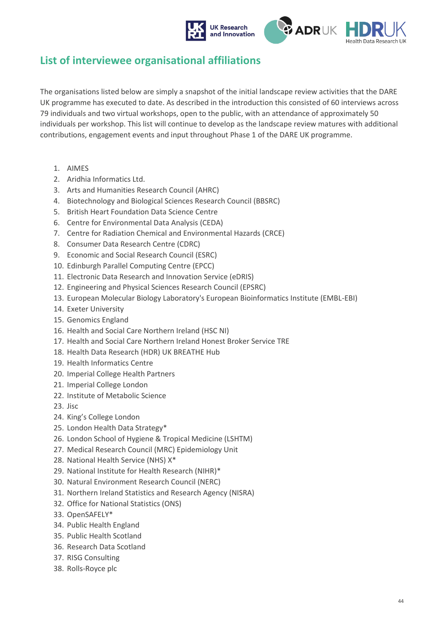

## <span id="page-43-0"></span>**List of interviewee organisational affiliations**

The organisations listed below are simply a snapshot of the initial landscape review activities that the DARE UK programme has executed to date. As described in the introduction this consisted of 60 interviews across 79 individuals and two virtual workshops, open to the public, with an attendance of approximately 50 individuals per workshop. This list will continue to develop as the landscape review matures with additional contributions, engagement events and input throughout Phase 1 of the DARE UK programme.

- 1. AIMES
- 2. Aridhia Informatics Ltd.
- 3. Arts and Humanities Research Council (AHRC)
- 4. Biotechnology and Biological Sciences Research Council (BBSRC)
- 5. British Heart Foundation Data Science Centre
- 6. Centre for Environmental Data Analysis (CEDA)
- 7. Centre for Radiation Chemical and Environmental Hazards (CRCE)
- 8. Consumer Data Research Centre (CDRC)
- 9. Economic and Social Research Council (ESRC)
- 10. Edinburgh Parallel Computing Centre (EPCC)
- 11. Electronic Data Research and Innovation Service (eDRIS)
- 12. Engineering and Physical Sciences Research Council (EPSRC)
- 13. European Molecular Biology Laboratory's European Bioinformatics Institute (EMBL-EBI)
- 14. Exeter University
- 15. Genomics England
- 16. Health and Social Care Northern Ireland (HSC NI)
- 17. Health and Social Care Northern Ireland Honest Broker Service TRE
- 18. Health Data Research (HDR) UK BREATHE Hub
- 19. Health Informatics Centre
- 20. Imperial College Health Partners
- 21. Imperial College London
- 22. Institute of Metabolic Science
- 23. Jisc
- 24. King's College London
- 25. London Health Data Strategy\*
- 26. London School of Hygiene & Tropical Medicine (LSHTM)
- 27. Medical Research Council (MRC) Epidemiology Unit
- 28. National Health Service (NHS) X\*
- 29. National Institute for Health Research (NIHR)\*
- 30. Natural Environment Research Council (NERC)
- 31. Northern Ireland Statistics and Research Agency (NISRA)
- 32. Office for National Statistics (ONS)
- 33. OpenSAFELY\*
- 34. Public Health England
- 35. Public Health Scotland
- 36. Research Data Scotland
- 37. RISG Consulting
- 38. Rolls-Royce plc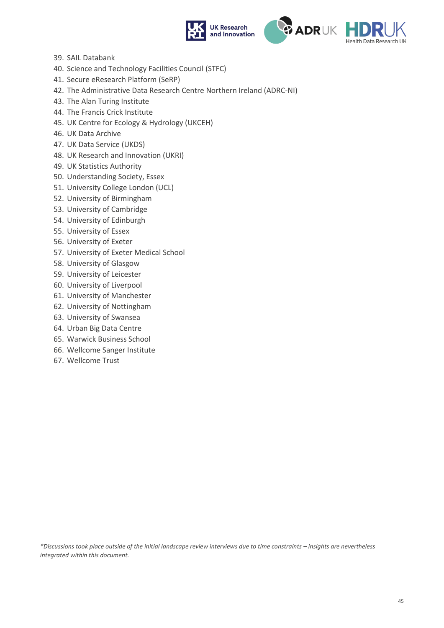



- 39. SAIL Databank
- 40. Science and Technology Facilities Council (STFC)
- 41. Secure eResearch Platform (SeRP)
- 42. The Administrative Data Research Centre Northern Ireland (ADRC-NI)
- 43. The Alan Turing Institute
- 44. The Francis Crick Institute
- 45. UK Centre for Ecology & Hydrology (UKCEH)
- 46. UK Data Archive
- 47. UK Data Service (UKDS)
- 48. UK Research and Innovation (UKRI)
- 49. UK Statistics Authority
- 50. Understanding Society, Essex
- 51. University College London (UCL)
- 52. University of Birmingham
- 53. University of Cambridge
- 54. University of Edinburgh
- 55. University of Essex
- 56. University of Exeter
- 57. University of Exeter Medical School
- 58. University of Glasgow
- 59. University of Leicester
- 60. University of Liverpool
- 61. University of Manchester
- 62. University of Nottingham
- 63. University of Swansea
- 64. Urban Big Data Centre
- 65. Warwick Business School
- 66. Wellcome Sanger Institute
- 67. Wellcome Trust